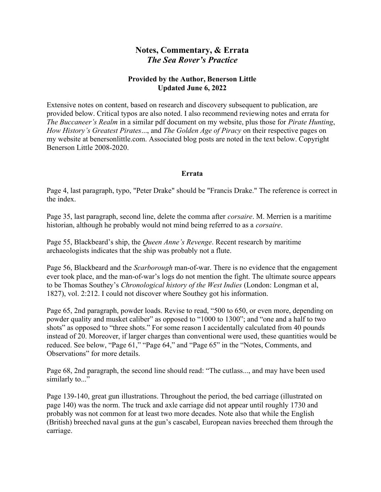## Notes, Commentary, & Errata The Sea Rover's Practice

## Provided by the Author, Benerson Little Updated June 6, 2022

Extensive notes on content, based on research and discovery subsequent to publication, are provided below. Critical typos are also noted. I also recommend reviewing notes and errata for The Buccaneer's Realm in a similar pdf document on my website, plus those for Pirate Hunting, How History's Greatest Pirates..., and The Golden Age of Piracy on their respective pages on my website at benersonlittle.com. Associated blog posts are noted in the text below. Copyright Benerson Little 2008-2020.

## Errata

Page 4, last paragraph, typo, "Peter Drake" should be "Francis Drake." The reference is correct in the index.

Page 35, last paragraph, second line, delete the comma after corsaire. M. Merrien is a maritime historian, although he probably would not mind being referred to as a corsaire.

Page 55, Blackbeard's ship, the *Queen Anne's Revenge*. Recent research by maritime archaeologists indicates that the ship was probably not a flute.

Page 56, Blackbeard and the *Scarborough* man-of-war. There is no evidence that the engagement ever took place, and the man-of-war's logs do not mention the fight. The ultimate source appears to be Thomas Southey's *Chronological history of the West Indies* (London: Longman et al, 1827), vol. 2:212. I could not discover where Southey got his information.

Page 65, 2nd paragraph, powder loads. Revise to read, "500 to 650, or even more, depending on powder quality and musket caliber" as opposed to "1000 to 1300"; and "one and a half to two shots" as opposed to "three shots." For some reason I accidentally calculated from 40 pounds instead of 20. Moreover, if larger charges than conventional were used, these quantities would be reduced. See below, "Page 61," "Page 64," and "Page 65" in the "Notes, Comments, and Observations" for more details.

Page 68, 2nd paragraph, the second line should read: "The cutlass..., and may have been used similarly to..."

Page 139-140, great gun illustrations. Throughout the period, the bed carriage (illustrated on page 140) was the norm. The truck and axle carriage did not appear until roughly 1730 and probably was not common for at least two more decades. Note also that while the English (British) breeched naval guns at the gun's cascabel, European navies breeched them through the carriage.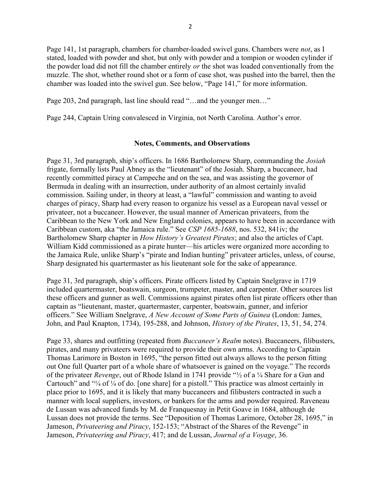Page 141, 1st paragraph, chambers for chamber-loaded swivel guns. Chambers were *not*, as I stated, loaded with powder and shot, but only with powder and a tompion or wooden cylinder if the powder load did not fill the chamber entirely or the shot was loaded conventionally from the muzzle. The shot, whether round shot or a form of case shot, was pushed into the barrel, then the chamber was loaded into the swivel gun. See below, "Page 141," for more information.

Page 203, 2nd paragraph, last line should read "…and the younger men…"

Page 244, Captain Uring convalesced in Virginia, not North Carolina. Author's error.

## Notes, Comments, and Observations

Page 31, 3rd paragraph, ship's officers. In 1686 Bartholomew Sharp, commanding the Josiah frigate, formally lists Paul Abney as the "lieutenant" of the Josiah. Sharp, a buccaneer, had recently committed piracy at Campeche and on the sea, and was assisting the governor of Bermuda in dealing with an insurrection, under authority of an almost certainly invalid commission. Sailing under, in theory at least, a "lawful" commission and wanting to avoid charges of piracy, Sharp had every reason to organize his vessel as a European naval vessel or privateer, not a buccaneer. However, the usual manner of American privateers, from the Caribbean to the New York and New England colonies, appears to have been in accordance with Caribbean custom, aka "the Jamaica rule." See CSP 1685-1688, nos. 532, 841iv; the Bartholomew Sharp chapter in *How History's Greatest Pirates*; and also the articles of Capt. William Kidd commissioned as a pirate hunter—his articles were organized more according to the Jamaica Rule, unlike Sharp's "pirate and Indian hunting" privateer articles, unless, of course, Sharp designated his quartermaster as his lieutenant sole for the sake of appearance.

Page 31, 3rd paragraph, ship's officers. Pirate officers listed by Captain Snelgrave in 1719 included quartermaster, boatswain, surgeon, trumpeter, master, and carpenter. Other sources list these officers and gunner as well. Commissions against pirates often list pirate officers other than captain as "lieutenant, master, quartermaster, carpenter, boatswain, gunner, and inferior officers." See William Snelgrave, A New Account of Some Parts of Guinea (London: James, John, and Paul Knapton, 1734), 195-288, and Johnson, History of the Pirates, 13, 51, 54, 274.

Page 33, shares and outfitting (repeated from Buccaneer's Realm notes). Buccaneers, filibusters, pirates, and many privateers were required to provide their own arms. According to Captain Thomas Larimore in Boston in 1695, "the person fitted out always allows to the person fitting out One full Quarter part of a whole share of whatsoever is gained on the voyage." The records of the privateer *Revenge*, out of Rhode Island in 1741 provide " $\frac{1}{2}$  of a  $\frac{1}{4}$  Share for a Gun and Cartouch" and "¼ of ¼ of do. [one share] for a pistoll." This practice was almost certainly in place prior to 1695, and it is likely that many buccaneers and filibusters contracted in such a manner with local suppliers, investors, or bankers for the arms and powder required. Raveneau de Lussan was advanced funds by M. de Franquesnay in Petit Goave in 1684, although de Lussan does not provide the terms. See "Deposition of Thomas Larimore, October 28, 1695," in Jameson, Privateering and Piracy, 152-153; "Abstract of the Shares of the Revenge" in Jameson, Privateering and Piracy, 417; and de Lussan, Journal of a Voyage, 36.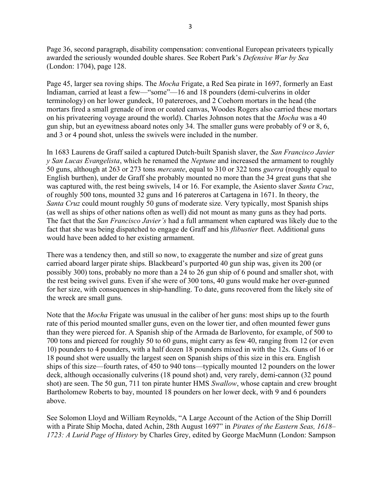Page 36, second paragraph, disability compensation: conventional European privateers typically awarded the seriously wounded double shares. See Robert Park's Defensive War by Sea (London: 1704), page 128.

Page 45, larger sea roving ships. The *Mocha* Frigate, a Red Sea pirate in 1697, formerly an East Indiaman, carried at least a few—"some"—16 and 18 pounders (demi-culverins in older terminology) on her lower gundeck, 10 patereroes, and 2 Coehorn mortars in the head (the mortars fired a small grenade of iron or coated canvas, Woodes Rogers also carried these mortars on his privateering voyage around the world). Charles Johnson notes that the Mocha was a 40 gun ship, but an eyewitness aboard notes only 34. The smaller guns were probably of 9 or 8, 6, and 3 or 4 pound shot, unless the swivels were included in the number.

In 1683 Laurens de Graff sailed a captured Dutch-built Spanish slaver, the San Francisco Javier y San Lucas Evangelista, which he renamed the Neptune and increased the armament to roughly 50 guns, although at 263 or 273 tons mercante, equal to 310 or 322 tons guerra (roughly equal to English burthen), under de Graff she probably mounted no more than the 34 great guns that she was captured with, the rest being swivels, 14 or 16. For example, the Asiento slaver Santa Cruz, of roughly 500 tons, mounted 32 guns and 16 patereros at Cartagena in 1671. In theory, the Santa Cruz could mount roughly 50 guns of moderate size. Very typically, most Spanish ships (as well as ships of other nations often as well) did not mount as many guns as they had ports. The fact that the San Francisco Javier's had a full armament when captured was likely due to the fact that she was being dispatched to engage de Graff and his *flibustier* fleet. Additional guns would have been added to her existing armament.

There was a tendency then, and still so now, to exaggerate the number and size of great guns carried aboard larger pirate ships. Blackbeard's purported 40 gun ship was, given its 200 (or possibly 300) tons, probably no more than a 24 to 26 gun ship of 6 pound and smaller shot, with the rest being swivel guns. Even if she were of 300 tons, 40 guns would make her over-gunned for her size, with consequences in ship-handling. To date, guns recovered from the likely site of the wreck are small guns.

Note that the *Mocha* Frigate was unusual in the caliber of her guns: most ships up to the fourth rate of this period mounted smaller guns, even on the lower tier, and often mounted fewer guns than they were pierced for. A Spanish ship of the Armada de Barlovento, for example, of 500 to 700 tons and pierced for roughly 50 to 60 guns, might carry as few 40, ranging from 12 (or even 10) pounders to 4 pounders, with a half dozen 18 pounders mixed in with the 12s. Guns of 16 or 18 pound shot were usually the largest seen on Spanish ships of this size in this era. English ships of this size—fourth rates, of 450 to 940 tons—typically mounted 12 pounders on the lower deck, although occasionally culverins (18 pound shot) and, very rarely, demi-cannon (32 pound shot) are seen. The 50 gun, 711 ton pirate hunter HMS Swallow, whose captain and crew brought Bartholomew Roberts to bay, mounted 18 pounders on her lower deck, with 9 and 6 pounders above.

See Solomon Lloyd and William Reynolds, "A Large Account of the Action of the Ship Dorrill with a Pirate Ship Mocha, dated Achin, 28th August 1697" in Pirates of the Eastern Seas, 1618-1723: A Lurid Page of History by Charles Grey, edited by George MacMunn (London: Sampson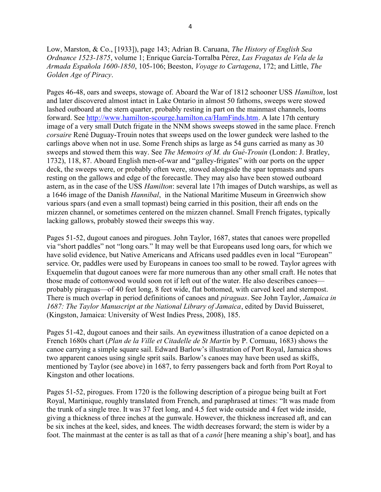Low, Marston, & Co., [1933]), page 143; Adrian B. Caruana, *The History of English Sea* Ordnance 1523-1875, volume 1; Enrique García-Torralba Pérez, Las Fragatas de Vela de la Armada Española 1600-1850, 105-106; Beeston, Voyage to Cartagena, 172; and Little, The Golden Age of Piracy.

Pages 46-48, oars and sweeps, stowage of. Aboard the War of 1812 schooner USS Hamilton, lost and later discovered almost intact in Lake Ontario in almost 50 fathoms, sweeps were stowed lashed outboard at the stern quarter, probably resting in part on the mainmast channels, looms forward. See http://www.hamilton-scourge.hamilton.ca/HamFinds.htm. A late 17th century image of a very small Dutch frigate in the NNM shows sweeps stowed in the same place. French corsaire René Duguay-Trouin notes that sweeps used on the lower gundeck were lashed to the carlings above when not in use. Some French ships as large as 54 guns carried as many as 30 sweeps and stowed them this way. See *The Memoirs of M. du Gué-Trouin* (London: J. Bratley, 1732), 118, 87. Aboard English men-of-war and "galley-frigates" with oar ports on the upper deck, the sweeps were, or probably often were, stowed alongside the spar topmasts and spars resting on the gallows and edge of the forecastle. They may also have been stowed outboard astern, as in the case of the USS Hamilton: several late 17th images of Dutch warships, as well as a 1646 image of the Danish Hannibal, in the National Maritime Museum in Greenwich show various spars (and even a small topmast) being carried in this position, their aft ends on the mizzen channel, or sometimes centered on the mizzen channel. Small French frigates, typically lacking gallows, probably stowed their sweeps this way.

Pages 51-52, dugout canoes and pirogues. John Taylor, 1687, states that canoes were propelled via "short paddles" not "long oars." It may well be that Europeans used long oars, for which we have solid evidence, but Native Americans and Africans used paddles even in local "European" service. Or, paddles were used by Europeans in canoes too small to be rowed. Taylor agrees with Exquemelin that dugout canoes were far more numerous than any other small craft. He notes that those made of cottonwood would soon rot if left out of the water. He also describes canoes probably piraguas—of 40 feet long, 8 feet wide, flat bottomed, with carved keel and sternpost. There is much overlap in period definitions of canoes and *piraguas*. See John Taylor, *Jamaica in* 1687: The Taylor Manuscript at the National Library of Jamaica, edited by David Buisseret, (Kingston, Jamaica: University of West Indies Press, 2008), 185.

Pages 51-42, dugout canoes and their sails. An eyewitness illustration of a canoe depicted on a French 1680s chart (Plan de la Ville et Citadelle de St Martin by P. Cornuau, 1683) shows the canoe carrying a simple square sail. Edward Barlow's illustration of Port Royal, Jamaica shows two apparent canoes using single sprit sails. Barlow's canoes may have been used as skiffs, mentioned by Taylor (see above) in 1687, to ferry passengers back and forth from Port Royal to Kingston and other locations.

Pages 51-52, pirogues. From 1720 is the following description of a pirogue being built at Fort Royal, Martinique, roughly translated from French, and paraphrased at times: "It was made from the trunk of a single tree. It was 37 feet long, and 4.5 feet wide outside and 4 feet wide inside, giving a thickness of three inches at the gunwale. However, the thickness increased aft, and can be six inches at the keel, sides, and knees. The width decreases forward; the stern is wider by a foot. The mainmast at the center is as tall as that of a *canôt* [here meaning a ship's boat], and has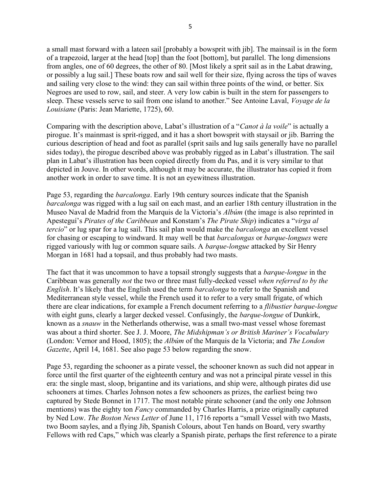a small mast forward with a lateen sail [probably a bowsprit with jib]. The mainsail is in the form of a trapezoid, larger at the head [top] than the foot [bottom], but parallel. The long dimensions from angles, one of 60 degrees, the other of 80. [Most likely a sprit sail as in the Labat drawing, or possibly a lug sail.] These boats row and sail well for their size, flying across the tips of waves and sailing very close to the wind: they can sail within three points of the wind, or better. Six Negroes are used to row, sail, and steer. A very low cabin is built in the stern for passengers to sleep. These vessels serve to sail from one island to another." See Antoine Laval, *Voyage de la* Louisiane (Paris: Jean Mariette, 1725), 60.

Comparing with the description above, Labat's illustration of a "Canot à la voile" is actually a pirogue. It's mainmast is sprit-rigged, and it has a short bowsprit with staysail or jib. Barring the curious description of head and foot as parallel (sprit sails and lug sails generally have no parallel sides today), the pirogue described above was probably rigged as in Labat's illustration. The sail plan in Labat's illustration has been copied directly from du Pas, and it is very similar to that depicted in Jouve. In other words, although it may be accurate, the illustrator has copied it from another work in order to save time. It is not an eyewitness illustration.

Page 53, regarding the *barcalonga*. Early 19th century sources indicate that the Spanish barcalonga was rigged with a lug sail on each mast, and an earlier 18th century illustration in the Museo Naval de Madrid from the Marquis de la Victoria's *Albúm* (the image is also reprinted in Apestegui's Pirates of the Caribbean and Konstam's The Pirate Ship) indicates a "virga al tercio" or lug spar for a lug sail. This sail plan would make the *barcalonga* an excellent vessel for chasing or escaping to windward. It may well be that *barcalongas* or *barque-longues* were rigged variously with lug or common square sails. A *barque-longue* attacked by Sir Henry Morgan in 1681 had a topsail, and thus probably had two masts.

The fact that it was uncommon to have a topsail strongly suggests that a *barque-longue* in the Caribbean was generally not the two or three mast fully-decked vessel when referred to by the English. It's likely that the English used the term *barcalonga* to refer to the Spanish and Mediterranean style vessel, while the French used it to refer to a very small frigate, of which there are clear indications, for example a French document referring to a *flibustier barque-longue* with eight guns, clearly a larger decked vessel. Confusingly, the *barque-longue* of Dunkirk, known as a snauw in the Netherlands otherwise, was a small two-mast vessel whose foremast was about a third shorter. See J. J. Moore, The Midshipman's or British Mariner's Vocabulary (London: Vernor and Hood, 1805); the Albúm of the Marquis de la Victoria; and The London Gazette, April 14, 1681. See also page 53 below regarding the snow.

Page 53, regarding the schooner as a pirate vessel, the schooner known as such did not appear in force until the first quarter of the eighteenth century and was not a principal pirate vessel in this era: the single mast, sloop, brigantine and its variations, and ship were, although pirates did use schooners at times. Charles Johnson notes a few schooners as prizes, the earliest being two captured by Stede Bonnet in 1717. The most notable pirate schooner (and the only one Johnson mentions) was the eighty ton *Fancy* commanded by Charles Harris, a prize originally captured by Ned Low. The Boston News Letter of June 11, 1716 reports a "small Vessel with two Masts, two Boom sayles, and a flying Jib, Spanish Colours, about Ten hands on Board, very swarthy Fellows with red Caps," which was clearly a Spanish pirate, perhaps the first reference to a pirate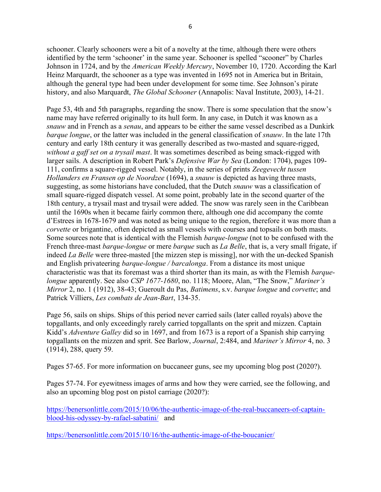schooner. Clearly schooners were a bit of a novelty at the time, although there were others identified by the term 'schooner' in the same year. Schooner is spelled "scooner" by Charles Johnson in 1724, and by the *American Weekly Mercury*, November 10, 1720. According the Karl Heinz Marquardt, the schooner as a type was invented in 1695 not in America but in Britain, although the general type had been under development for some time. See Johnson's pirate history, and also Marquardt, The Global Schooner (Annapolis: Naval Institute, 2003), 14-21.

Page 53, 4th and 5th paragraphs, regarding the snow. There is some speculation that the snow's name may have referred originally to its hull form. In any case, in Dutch it was known as a snauw and in French as a *senau*, and appears to be either the same vessel described as a Dunkirk *barque longue*, or the latter was included in the general classification of *snauw*. In the late 17th century and early 18th century it was generally described as two-masted and square-rigged, without a gaff set on a trysail mast. It was sometimes described as being smack-rigged with larger sails. A description in Robert Park's *Defensive War by Sea* (London: 1704), pages 109-111, confirms a square-rigged vessel. Notably, in the series of prints Zeegevecht tussen Hollanders en Fransen op de Noordzee (1694), a snauw is depicted as having three masts, suggesting, as some historians have concluded, that the Dutch *snauw* was a classification of small square-rigged dispatch vessel. At some point, probably late in the second quarter of the 18th century, a trysail mast and trysail were added. The snow was rarely seen in the Caribbean until the 1690s when it became fairly common there, although one did accompany the comte d'Estrees in 1678-1679 and was noted as being unique to the region, therefore it was more than a corvette or brigantine, often depicted as small vessels with courses and topsails on both masts. Some sources note that is identical with the Flemish barque-longue (not to be confused with the French three-mast *barque-longue* or mere *barque* such as *La Belle*, that is, a very small frigate, if indeed *La Belle* were three-masted [the mizzen step is missing], nor with the un-decked Spanish and English privateering barque-longue / barcalonga. From a distance its most unique characteristic was that its foremast was a third shorter than its main, as with the Flemish *barque*longue apparently. See also CSP 1677-1680, no. 1118; Moore, Alan, "The Snow," Mariner's Mirror 2, no. 1 (1912), 38-43; Gueroult du Pas, *Batimens*, s.v. *barque longue* and *corvette*; and Patrick Villiers, Les combats de Jean-Bart, 134-35.

Page 56, sails on ships. Ships of this period never carried sails (later called royals) above the topgallants, and only exceedingly rarely carried topgallants on the sprit and mizzen. Captain Kidd's Adventure Galley did so in 1697, and from 1673 is a report of a Spanish ship carrying topgallants on the mizzen and sprit. See Barlow, Journal, 2:484, and Mariner's Mirror 4, no. 3 (1914), 288, query 59.

Pages 57-65. For more information on buccaneer guns, see my upcoming blog post (2020?).

Pages 57-74. For eyewitness images of arms and how they were carried, see the following, and also an upcoming blog post on pistol carriage (2020?):

https://benersonlittle.com/2015/10/06/the-authentic-image-of-the-real-buccaneers-of-captainblood-his-odyssey-by-rafael-sabatini/ and

https://benersonlittle.com/2015/10/16/the-authentic-image-of-the-boucanier/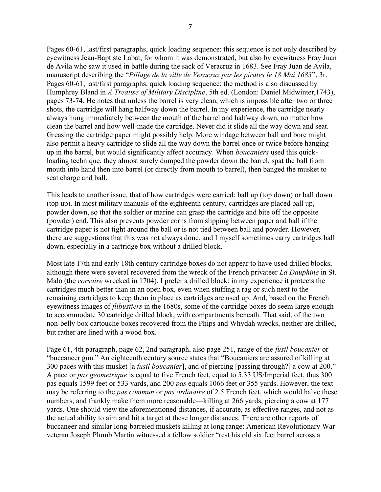Pages 60-61, last/first paragraphs, quick loading sequence: this sequence is not only described by eyewitness Jean-Baptiste Labat, for whom it was demonstrated, but also by eyewitness Fray Juan de Avila who saw it used in battle during the sack of Veracruz in 1683. See Fray Juan de Avila, manuscript describing the "*Pillage de la ville de Veracruz par les pirates le 18 Mai 1683*", 3r. Pages 60-61, last/first paragraphs, quick loading sequence: the method is also discussed by Humphrey Bland in A Treatise of Military Discipline, 5th ed. (London: Daniel Midwinter, 1743), pages 73-74. He notes that unless the barrel is very clean, which is impossible after two or three shots, the cartridge will hang halfway down the barrel. In my experience, the cartridge nearly always hung immediately between the mouth of the barrel and halfway down, no matter how clean the barrel and how well-made the cartridge. Never did it slide all the way down and seat. Greasing the cartridge paper might possibly help. More windage between ball and bore might also permit a heavy cartridge to slide all the way down the barrel once or twice before hanging up in the barrel, but would significantly affect accuracy. When *boucaniers* used this quickloading technique, they almost surely dumped the powder down the barrel, spat the ball from mouth into hand then into barrel (or directly from mouth to barrel), then banged the musket to

This leads to another issue, that of how cartridges were carried: ball up (top down) or ball down (top up). In most military manuals of the eighteenth century, cartridges are placed ball up, powder down, so that the soldier or marine can grasp the cartridge and bite off the opposite (powder) end. This also prevents powder corns from slipping between paper and ball if the cartridge paper is not tight around the ball or is not tied between ball and powder. However, there are suggestions that this was not always done, and I myself sometimes carry cartridges ball down, especially in a cartridge box without a drilled block.

seat charge and ball.

Most late 17th and early 18th century cartridge boxes do not appear to have used drilled blocks, although there were several recovered from the wreck of the French privateer La Dauphine in St. Malo (the *corsaire* wrecked in 1704). I prefer a drilled block: in my experience it protects the cartridges much better than in an open box, even when stuffing a rag or such next to the remaining cartridges to keep them in place as cartridges are used up. And, based on the French eyewitness images of *flibustiers* in the 1680s, some of the cartridge boxes do seem large enough to accommodate 30 cartridge drilled block, with compartments beneath. That said, of the two non-belly box cartouche boxes recovered from the Phips and Whydah wrecks, neither are drilled, but rather are lined with a wood box.

Page 61, 4th paragraph, page 62, 2nd paragraph, also page 251, range of the *fusil boucanier* or "buccaneer gun." An eighteenth century source states that "Boucaniers are assured of killing at 300 paces with this musket [a fusil boucanier], and of piercing [passing through?] a cow at 200." A pace or *pas geometrique* is equal to five French feet, equal to 5.33 US/Imperial feet, thus 300 pas equals 1599 feet or 533 yards, and 200 pas equals 1066 feet or 355 yards. However, the text may be referring to the *pas commun* or *pas ordinaire* of 2.5 French feet, which would halve these numbers, and frankly make them more reasonable—killing at 266 yards, piercing a cow at 177 yards. One should view the aforementioned distances, if accurate, as effective ranges, and not as the actual ability to aim and hit a target at these longer distances. There are other reports of buccaneer and similar long-barreled muskets killing at long range: American Revolutionary War veteran Joseph Plumb Martin witnessed a fellow soldier "rest his old six feet barrel across a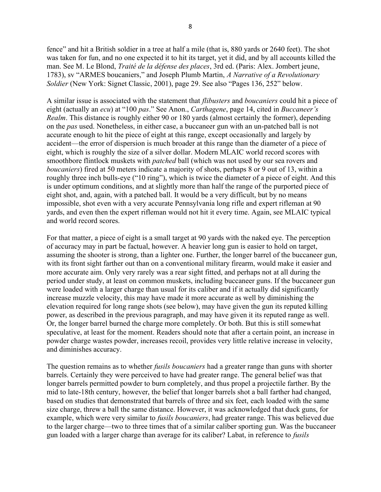fence" and hit a British soldier in a tree at half a mile (that is, 880 yards or 2640 feet). The shot was taken for fun, and no one expected it to hit its target, yet it did, and by all accounts killed the man. See M. Le Blond, Traité de la défense des places, 3rd ed. (Paris: Alex. Jombert jeune, 1783), sv "ARMES boucaniers," and Joseph Plumb Martin, A Narrative of a Revolutionary Soldier (New York: Signet Classic, 2001), page 29. See also "Pages 136, 252" below.

A similar issue is associated with the statement that *flibusters* and *boucaniers* could hit a piece of eight (actually an ecu) at "100 pas." See Anon., Carthagene, page 14, cited in Buccaneer's Realm. This distance is roughly either 90 or 180 yards (almost certainly the former), depending on the pas used. Nonetheless, in either case, a buccaneer gun with an un-patched ball is not accurate enough to hit the piece of eight at this range, except occasionally and largely by accident—the error of dispersion is much broader at this range than the diameter of a piece of eight, which is roughly the size of a silver dollar. Modern MLAIC world record scores with smoothbore flintlock muskets with patched ball (which was not used by our sea rovers and boucaniers) fired at 50 meters indicate a majority of shots, perhaps 8 or 9 out of 13, within a roughly three inch bulls-eye ("10 ring"), which is twice the diameter of a piece of eight. And this is under optimum conditions, and at slightly more than half the range of the purported piece of eight shot, and, again, with a patched ball. It would be a very difficult, but by no means impossible, shot even with a very accurate Pennsylvania long rifle and expert rifleman at 90 yards, and even then the expert rifleman would not hit it every time. Again, see MLAIC typical and world record scores.

For that matter, a piece of eight is a small target at 90 yards with the naked eye. The perception of accuracy may in part be factual, however. A heavier long gun is easier to hold on target, assuming the shooter is strong, than a lighter one. Further, the longer barrel of the buccaneer gun, with its front sight farther out than on a conventional military firearm, would make it easier and more accurate aim. Only very rarely was a rear sight fitted, and perhaps not at all during the period under study, at least on common muskets, including buccaneer guns. If the buccaneer gun were loaded with a larger charge than usual for its caliber and if it actually did significantly increase muzzle velocity, this may have made it more accurate as well by diminishing the elevation required for long range shots (see below), may have given the gun its reputed killing power, as described in the previous paragraph, and may have given it its reputed range as well. Or, the longer barrel burned the charge more completely. Or both. But this is still somewhat speculative, at least for the moment. Readers should note that after a certain point, an increase in powder charge wastes powder, increases recoil, provides very little relative increase in velocity, and diminishes accuracy.

The question remains as to whether *fusils boucaniers* had a greater range than guns with shorter barrels. Certainly they were perceived to have had greater range. The general belief was that longer barrels permitted powder to burn completely, and thus propel a projectile farther. By the mid to late-18th century, however, the belief that longer barrels shot a ball farther had changed, based on studies that demonstrated that barrels of three and six feet, each loaded with the same size charge, threw a ball the same distance. However, it was acknowledged that duck guns, for example, which were very similar to *fusils boucaniers*, had greater range. This was believed due to the larger charge—two to three times that of a similar caliber sporting gun. Was the buccaneer gun loaded with a larger charge than average for its caliber? Labat, in reference to fusils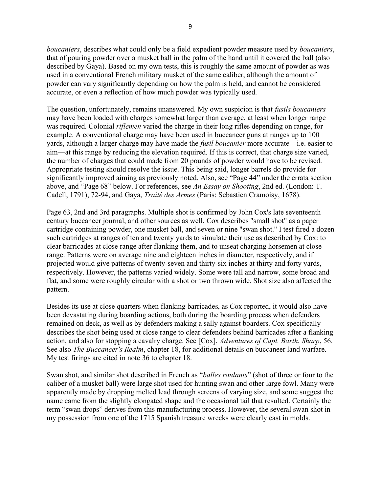boucaniers, describes what could only be a field expedient powder measure used by boucaniers, that of pouring powder over a musket ball in the palm of the hand until it covered the ball (also described by Gaya). Based on my own tests, this is roughly the same amount of powder as was used in a conventional French military musket of the same caliber, although the amount of powder can vary significantly depending on how the palm is held, and cannot be considered accurate, or even a reflection of how much powder was typically used.

The question, unfortunately, remains unanswered. My own suspicion is that fusils boucaniers may have been loaded with charges somewhat larger than average, at least when longer range was required. Colonial *riflemen* varied the charge in their long rifles depending on range, for example. A conventional charge may have been used in buccaneer guns at ranges up to 100 yards, although a larger charge may have made the fusil boucanier more accurate—i.e. easier to aim—at this range by reducing the elevation required. If this is correct, that charge size varied, the number of charges that could made from 20 pounds of powder would have to be revised. Appropriate testing should resolve the issue. This being said, longer barrels do provide for significantly improved aiming as previously noted. Also, see "Page 44" under the errata section above, and "Page 68" below. For references, see An Essay on Shooting, 2nd ed. (London: T. Cadell, 1791), 72-94, and Gaya, Traité des Armes (Paris: Sebastien Cramoisy, 1678).

Page 63, 2nd and 3rd paragraphs. Multiple shot is confirmed by John Cox's late seventeenth century buccaneer journal, and other sources as well. Cox describes "small shot" as a paper cartridge containing powder, one musket ball, and seven or nine "swan shot." I test fired a dozen such cartridges at ranges of ten and twenty yards to simulate their use as described by Cox: to clear barricades at close range after flanking them, and to unseat charging horsemen at close range. Patterns were on average nine and eighteen inches in diameter, respectively, and if projected would give patterns of twenty-seven and thirty-six inches at thirty and forty yards, respectively. However, the patterns varied widely. Some were tall and narrow, some broad and flat, and some were roughly circular with a shot or two thrown wide. Shot size also affected the pattern.

Besides its use at close quarters when flanking barricades, as Cox reported, it would also have been devastating during boarding actions, both during the boarding process when defenders remained on deck, as well as by defenders making a sally against boarders. Cox specifically describes the shot being used at close range to clear defenders behind barricades after a flanking action, and also for stopping a cavalry charge. See [Cox], Adventures of Capt. Barth. Sharp, 56. See also The Buccaneer's Realm, chapter 18, for additional details on buccaneer land warfare. My test firings are cited in note 36 to chapter 18.

Swan shot, and similar shot described in French as "*balles roulants*" (shot of three or four to the caliber of a musket ball) were large shot used for hunting swan and other large fowl. Many were apparently made by dropping melted lead through screens of varying size, and some suggest the name came from the slightly elongated shape and the occasional tail that resulted. Certainly the term "swan drops" derives from this manufacturing process. However, the several swan shot in my possession from one of the 1715 Spanish treasure wrecks were clearly cast in molds.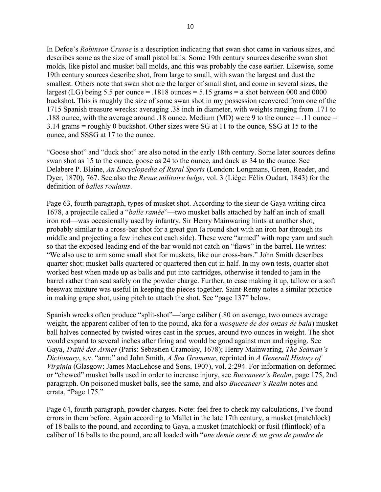In Defoe's Robinson Crusoe is a description indicating that swan shot came in various sizes, and describes some as the size of small pistol balls. Some 19th century sources describe swan shot molds, like pistol and musket ball molds, and this was probably the case earlier. Likewise, some 19th century sources describe shot, from large to small, with swan the largest and dust the smallest. Others note that swan shot are the larger of small shot, and come in several sizes, the largest (LG) being 5.5 per ounce  $= .1818$  ounces  $= 5.15$  grams  $= a$  shot between 000 and 0000 buckshot. This is roughly the size of some swan shot in my possession recovered from one of the 1715 Spanish treasure wrecks: averaging .38 inch in diameter, with weights ranging from .171 to .188 ounce, with the average around .18 ounce. Medium (MD) were 9 to the ounce = .11 ounce = 3.14 grams = roughly 0 buckshot. Other sizes were SG at 11 to the ounce, SSG at 15 to the ounce, and SSSG at 17 to the ounce.

"Goose shot" and "duck shot" are also noted in the early 18th century. Some later sources define swan shot as 15 to the ounce, goose as 24 to the ounce, and duck as 34 to the ounce. See Delabere P. Blaine, An Encyclopedia of Rural Sports (London: Longmans, Green, Reader, and Dyer, 1870), 767. See also the Revue militaire belge, vol. 3 (Liége: Félix Oudart, 1843) for the definition of *balles roulants*.

Page 63, fourth paragraph, types of musket shot. According to the sieur de Gaya writing circa 1678, a projectile called a "balle ramée"—two musket balls attached by half an inch of small iron rod—was occasionally used by infantry. Sir Henry Mainwaring hints at another shot, probably similar to a cross-bar shot for a great gun (a round shot with an iron bar through its middle and projecting a few inches out each side). These were "armed" with rope yarn and such so that the exposed leading end of the bar would not catch on "flaws" in the barrel. He writes: "We also use to arm some small shot for muskets, like our cross-bars." John Smith describes quarter shot: musket balls quartered or quartered then cut in half. In my own tests, quarter shot worked best when made up as balls and put into cartridges, otherwise it tended to jam in the barrel rather than seat safely on the powder charge. Further, to ease making it up, tallow or a soft beeswax mixture was useful in keeping the pieces together. Saint-Remy notes a similar practice in making grape shot, using pitch to attach the shot. See "page 137" below.

Spanish wrecks often produce "split-shot"—large caliber (.80 on average, two ounces average weight, the apparent caliber of ten to the pound, aka for a *mosquete de dos onzas de bala*) musket ball halves connected by twisted wires cast in the sprues, around two ounces in weight. The shot would expand to several inches after firing and would be good against men and rigging. See Gaya, Traité des Armes (Paris: Sebastien Cramoisy, 1678); Henry Mainwaring, The Seaman's Dictionary, s.v. "arm;" and John Smith, A Sea Grammar, reprinted in A Generall History of Virginia (Glasgow: James MacLehose and Sons, 1907), vol. 2:294. For information on deformed or "chewed" musket balls used in order to increase injury, see *Buccaneer's Realm*, page 175, 2nd paragraph. On poisoned musket balls, see the same, and also *Buccaneer's Realm* notes and errata, "Page 175."

Page 64, fourth paragraph, powder charges. Note: feel free to check my calculations, I've found errors in them before. Again according to Mallet in the late 17th century, a musket (matchlock) of 18 balls to the pound, and according to Gaya, a musket (matchlock) or fusil (flintlock) of a caliber of 16 balls to the pound, are all loaded with "une demie once  $\&$  un gros de poudre de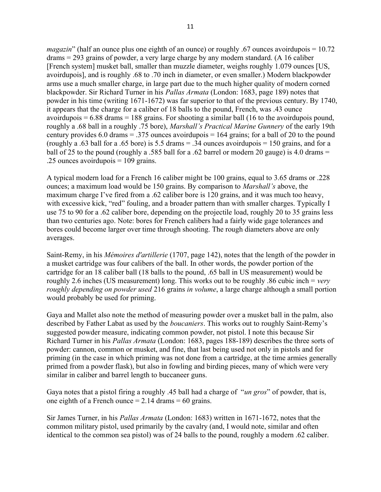*magazin*" (half an ounce plus one eighth of an ounce) or roughly .67 ounces avoirdupois  $= 10.72$ drams = 293 grains of powder, a very large charge by any modern standard. (A 16 caliber [French system] musket ball, smaller than muzzle diameter, weighs roughly 1.079 ounces [US, avoirdupois], and is roughly .68 to .70 inch in diameter, or even smaller.) Modern blackpowder arms use a much smaller charge, in large part due to the much higher quality of modern corned blackpowder. Sir Richard Turner in his *Pallas Armata* (London: 1683, page 189) notes that powder in his time (writing 1671-1672) was far superior to that of the previous century. By 1740, it appears that the charge for a caliber of 18 balls to the pound, French, was .43 ounce avoirdupois  $= 6.88$  drams  $= 188$  grains. For shooting a similar ball (16 to the avoirdupois pound, roughly a .68 ball in a roughly .75 bore), *Marshall's Practical Marine Gunnery* of the early 19th century provides 6.0 drams  $= .375$  ounces avoirdupois  $= 164$  grains; for a ball of 20 to the pound (roughly a .63 ball for a .65 bore) is 5.5 drams  $= .34$  ounces avoirdupois  $= 150$  grains, and for a ball of 25 to the pound (roughly a .585 ball for a .62 barrel or modern 20 gauge) is 4.0 drams  $=$ .25 ounces avoirdupois = 109 grains.

A typical modern load for a French 16 caliber might be 100 grains, equal to 3.65 drams or .228 ounces; a maximum load would be 150 grains. By comparison to *Marshall's* above, the maximum charge I've fired from a .62 caliber bore is 120 grains, and it was much too heavy, with excessive kick, "red" fouling, and a broader pattern than with smaller charges. Typically I use 75 to 90 for a .62 caliber bore, depending on the projectile load, roughly 20 to 35 grains less than two centuries ago. Note: bores for French calibers had a fairly wide gage tolerances and bores could become larger over time through shooting. The rough diameters above are only averages.

Saint-Remy, in his Mémoires d'artillerie (1707, page 142), notes that the length of the powder in a musket cartridge was four calibers of the ball. In other words, the powder portion of the cartridge for an 18 caliber ball (18 balls to the pound, .65 ball in US measurement) would be roughly 2.6 inches (US measurement) long. This works out to be roughly .86 cubic inch = very roughly depending on powder used 216 grains in volume, a large charge although a small portion would probably be used for priming.

Gaya and Mallet also note the method of measuring powder over a musket ball in the palm, also described by Father Labat as used by the *boucaniers*. This works out to roughly Saint-Remy's suggested powder measure, indicating common powder, not pistol. I note this because Sir Richard Turner in his *Pallas Armata* (London: 1683, pages 188-189) describes the three sorts of powder: cannon, common or musket, and fine, that last being used not only in pistols and for priming (in the case in which priming was not done from a cartridge, at the time armies generally primed from a powder flask), but also in fowling and birding pieces, many of which were very similar in caliber and barrel length to buccaneer guns.

Gaya notes that a pistol firing a roughly .45 ball had a charge of "*un gros*" of powder, that is, one eighth of a French ounce  $= 2.14$  drams  $= 60$  grains.

Sir James Turner, in his Pallas Armata (London: 1683) written in 1671-1672, notes that the common military pistol, used primarily by the cavalry (and, I would note, similar and often identical to the common sea pistol) was of 24 balls to the pound, roughly a modern .62 caliber.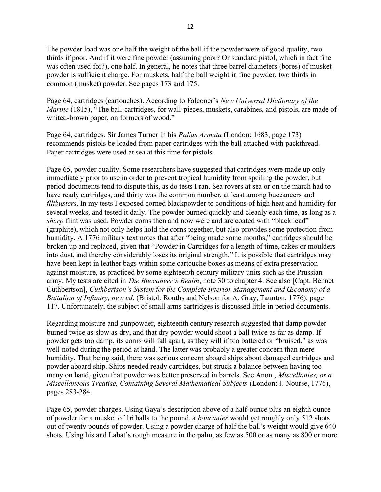The powder load was one half the weight of the ball if the powder were of good quality, two thirds if poor. And if it were fine powder (assuming poor? Or standard pistol, which in fact fine was often used for?), one half. In general, he notes that three barrel diameters (bores) of musket powder is sufficient charge. For muskets, half the ball weight in fine powder, two thirds in common (musket) powder. See pages 173 and 175.

Page 64, cartridges (cartouches). According to Falconer's New Universal Dictionary of the Marine (1815), "The ball-cartridges, for wall-pieces, muskets, carabines, and pistols, are made of whited-brown paper, on formers of wood."

Page 64, cartridges. Sir James Turner in his Pallas Armata (London: 1683, page 173) recommends pistols be loaded from paper cartridges with the ball attached with packthread. Paper cartridges were used at sea at this time for pistols.

Page 65, powder quality. Some researchers have suggested that cartridges were made up only immediately prior to use in order to prevent tropical humidity from spoiling the powder, but period documents tend to dispute this, as do tests I ran. Sea rovers at sea or on the march had to have ready cartridges, and thirty was the common number, at least among buccaneers and fllibusters. In my tests I exposed corned blackpowder to conditions of high heat and humidity for several weeks, and tested it daily. The powder burned quickly and cleanly each time, as long as a sharp flint was used. Powder corns then and now were and are coated with "black lead" (graphite), which not only helps hold the corns together, but also provides some protection from humidity. A 1776 military text notes that after "being made some months," cartridges should be broken up and replaced, given that "Powder in Cartridges for a length of time, cakes or moulders into dust, and thereby considerably loses its original strength." It is possible that cartridges may have been kept in leather bags within some cartouche boxes as means of extra preservation against moisture, as practiced by some eighteenth century military units such as the Prussian army. My tests are cited in *The Buccaneer's Realm*, note 30 to chapter 4. See also [Capt. Bennet Cuthbertson], Cuthbertson's System for the Complete Interior Management and Œconomy of a Battalion of Infantry, new ed. (Bristol: Rouths and Nelson for A. Gray, Taunton, 1776), page 117. Unfortunately, the subject of small arms cartridges is discussed little in period documents.

Regarding moisture and gunpowder, eighteenth century research suggested that damp powder burned twice as slow as dry, and that dry powder would shoot a ball twice as far as damp. If powder gets too damp, its corns will fall apart, as they will if too battered or "bruised," as was well-noted during the period at hand. The latter was probably a greater concern than mere humidity. That being said, there was serious concern aboard ships about damaged cartridges and powder aboard ship. Ships needed ready cartridges, but struck a balance between having too many on hand, given that powder was better preserved in barrels. See Anon., *Miscellanies, or a* Miscellaneous Treatise, Containing Several Mathematical Subjects (London: J. Nourse, 1776), pages 283-284.

Page 65, powder charges. Using Gaya's description above of a half-ounce plus an eighth ounce of powder for a musket of 16 balls to the pound, a *boucanier* would get roughly only 512 shots out of twenty pounds of powder. Using a powder charge of half the ball's weight would give 640 shots. Using his and Labat's rough measure in the palm, as few as 500 or as many as 800 or more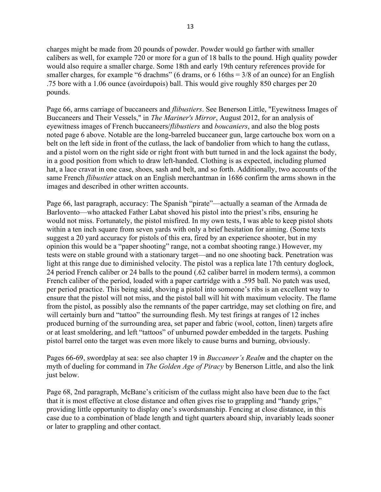charges might be made from 20 pounds of powder. Powder would go farther with smaller calibers as well, for example 720 or more for a gun of 18 balls to the pound. High quality powder would also require a smaller charge. Some 18th and early 19th century references provide for smaller charges, for example "6 drachms" (6 drams, or 6 16ths  $= 3/8$  of an ounce) for an English .75 bore with a 1.06 ounce (avoirdupois) ball. This would give roughly 850 charges per 20 pounds.

Page 66, arms carriage of buccaneers and flibustiers. See Benerson Little, "Eyewitness Images of Buccaneers and Their Vessels," in The Mariner's Mirror, August 2012, for an analysis of eyewitness images of French buccaneers/*flibustiers* and *boucaniers*, and also the blog posts noted page 6 above. Notable are the long-barreled buccaneer gun, large cartouche box worn on a belt on the left side in front of the cutlass, the lack of bandolier from which to hang the cutlass, and a pistol worn on the right side or right front with butt turned in and the lock against the body, in a good position from which to draw left-handed. Clothing is as expected, including plumed hat, a lace cravat in one case, shoes, sash and belt, and so forth. Additionally, two accounts of the same French *flibustier* attack on an English merchantman in 1686 confirm the arms shown in the images and described in other written accounts.

Page 66, last paragraph, accuracy: The Spanish "pirate"—actually a seaman of the Armada de Barlovento—who attacked Father Labat shoved his pistol into the priest's ribs, ensuring he would not miss. Fortunately, the pistol misfired. In my own tests, I was able to keep pistol shots within a ten inch square from seven yards with only a brief hesitation for aiming. (Some texts suggest a 20 yard accuracy for pistols of this era, fired by an experience shooter, but in my opinion this would be a "paper shooting" range, not a combat shooting range.) However, my tests were on stable ground with a stationary target—and no one shooting back. Penetration was light at this range due to diminished velocity. The pistol was a replica late 17th century doglock, 24 period French caliber or 24 balls to the pound (.62 caliber barrel in modern terms), a common French caliber of the period, loaded with a paper cartridge with a .595 ball. No patch was used, per period practice. This being said, shoving a pistol into someone's ribs is an excellent way to ensure that the pistol will not miss, and the pistol ball will hit with maximum velocity. The flame from the pistol, as possibly also the remnants of the paper cartridge, may set clothing on fire, and will certainly burn and "tattoo" the surrounding flesh. My test firings at ranges of 12 inches produced burning of the surrounding area, set paper and fabric (wool, cotton, linen) targets afire or at least smoldering, and left "tattoos" of unburned powder embedded in the targets. Pushing pistol barrel onto the target was even more likely to cause burns and burning, obviously.

Pages 66-69, swordplay at sea: see also chapter 19 in *Buccaneer's Realm* and the chapter on the myth of dueling for command in *The Golden Age of Piracy* by Benerson Little, and also the link just below.

Page 68, 2nd paragraph, McBane's criticism of the cutlass might also have been due to the fact that it is most effective at close distance and often gives rise to grappling and "handy grips," providing little opportunity to display one's swordsmanship. Fencing at close distance, in this case due to a combination of blade length and tight quarters aboard ship, invariably leads sooner or later to grappling and other contact.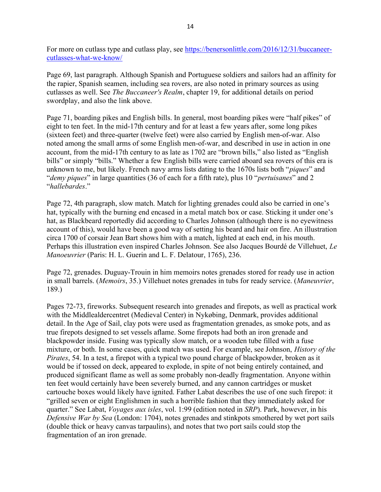For more on cutlass type and cutlass play, see https://benersonlittle.com/2016/12/31/buccaneercutlasses-what-we-know/

Page 69, last paragraph. Although Spanish and Portuguese soldiers and sailors had an affinity for the rapier, Spanish seamen, including sea rovers, are also noted in primary sources as using cutlasses as well. See The Buccaneer's Realm, chapter 19, for additional details on period swordplay, and also the link above.

Page 71, boarding pikes and English bills. In general, most boarding pikes were "half pikes" of eight to ten feet. In the mid-17th century and for at least a few years after, some long pikes (sixteen feet) and three-quarter (twelve feet) were also carried by English men-of-war. Also noted among the small arms of some English men-of-war, and described in use in action in one account, from the mid-17th century to as late as 1702 are "brown bills," also listed as "English bills" or simply "bills." Whether a few English bills were carried aboard sea rovers of this era is unknown to me, but likely. French navy arms lists dating to the 1670s lists both "*piques*" and "*demy piques*" in large quantities (36 of each for a fifth rate), plus 10 "*pertuisanes*" and 2 "hallebardes."

Page 72, 4th paragraph, slow match. Match for lighting grenades could also be carried in one's hat, typically with the burning end encased in a metal match box or case. Sticking it under one's hat, as Blackbeard reportedly did according to Charles Johnson (although there is no eyewitness account of this), would have been a good way of setting his beard and hair on fire. An illustration circa 1700 of corsair Jean Bart shows him with a match, lighted at each end, in his mouth. Perhaps this illustration even inspired Charles Johnson. See also Jacques Bourdé de Villehuet, Le Manoeuvrier (Paris: H. L. Guerin and L. F. Delatour, 1765), 236.

Page 72, grenades. Duguay-Trouin in him memoirs notes grenades stored for ready use in action in small barrels. (Memoirs, 35.) Villehuet notes grenades in tubs for ready service. (Maneuvrier, 189.)

Pages 72-73, fireworks. Subsequent research into grenades and firepots, as well as practical work with the Middlealdercentret (Medieval Center) in Nykøbing, Denmark, provides additional detail. In the Age of Sail, clay pots were used as fragmentation grenades, as smoke pots, and as true firepots designed to set vessels aflame. Some firepots had both an iron grenade and blackpowder inside. Fusing was typically slow match, or a wooden tube filled with a fuse mixture, or both. In some cases, quick match was used. For example, see Johnson, *History of the* Pirates, 54. In a test, a firepot with a typical two pound charge of blackpowder, broken as it would be if tossed on deck, appeared to explode, in spite of not being entirely contained, and produced significant flame as well as some probably non-deadly fragmentation. Anyone within ten feet would certainly have been severely burned, and any cannon cartridges or musket cartouche boxes would likely have ignited. Father Labat describes the use of one such firepot: it "grilled seven or eight Englishmen in such a horrible fashion that they immediately asked for quarter." See Labat, *Voyages aux isles*, vol. 1:99 (edition noted in *SRP*). Park, however, in his Defensive War by Sea (London: 1704), notes grenades and stinkpots smothered by wet port sails (double thick or heavy canvas tarpaulins), and notes that two port sails could stop the fragmentation of an iron grenade.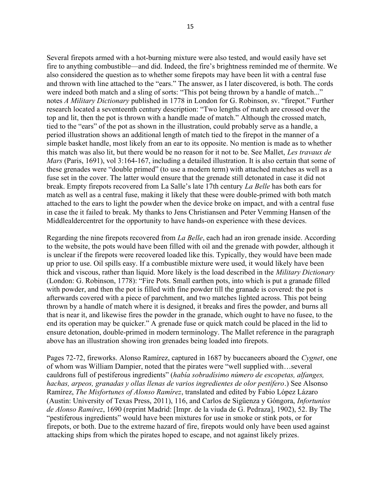Several firepots armed with a hot-burning mixture were also tested, and would easily have set fire to anything combustible—and did. Indeed, the fire's brightness reminded me of thermite. We also considered the question as to whether some firepots may have been lit with a central fuse and thrown with line attached to the "ears." The answer, as I later discovered, is both. The cords were indeed both match and a sling of sorts: "This pot being thrown by a handle of match..." notes A Military Dictionary published in 1778 in London for G. Robinson, sv. "firepot." Further research located a seventeenth century description: "Two lengths of match are crossed over the top and lit, then the pot is thrown with a handle made of match." Although the crossed match, tied to the "ears" of the pot as shown in the illustration, could probably serve as a handle, a period illustration shows an additional length of match tied to the firepot in the manner of a simple basket handle, most likely from an ear to its opposite. No mention is made as to whether this match was also lit, but there would be no reason for it not to be. See Mallet, Les travaux de Mars (Paris, 1691), vol 3:164-167, including a detailed illustration. It is also certain that some of these grenades were "double primed" (to use a modern term) with attached matches as well as a fuse set in the cover. The latter would ensure that the grenade still detonated in case it did not break. Empty firepots recovered from La Salle's late 17th century La Belle has both ears for match as well as a central fuse, making it likely that these were double-primed with both match attached to the ears to light the powder when the device broke on impact, and with a central fuse in case the it failed to break. My thanks to Jens Christiansen and Peter Vemming Hansen of the Middlealdercentret for the opportunity to have hands-on experience with these devices.

Regarding the nine firepots recovered from La Belle, each had an iron grenade inside. According to the website, the pots would have been filled with oil and the grenade with powder, although it is unclear if the firepots were recovered loaded like this. Typically, they would have been made up prior to use. Oil spills easy. If a combustible mixture were used, it would likely have been thick and viscous, rather than liquid. More likely is the load described in the Military Dictionary (London: G. Robinson, 1778): "Fire Pots. Small earthen pots, into which is put a granade filled with powder, and then the pot is filled with fine powder till the granade is covered: the pot is afterwards covered with a piece of parchment, and two matches lighted across. This pot being thrown by a handle of match where it is designed, it breaks and fires the powder, and burns all that is near it, and likewise fires the powder in the granade, which ought to have no fusee, to the end its operation may be quicker." A grenade fuse or quick match could be placed in the lid to ensure detonation, double-primed in modern terminology. The Mallet reference in the paragraph above has an illustration showing iron grenades being loaded into firepots.

Pages 72-72, fireworks. Alonso Ramírez, captured in 1687 by buccaneers aboard the Cygnet, one of whom was William Dampier, noted that the pirates were "well supplied with…several cauldrons full of pestiferous ingredients" (había sobradísimo número de escopetas, alfanges, hachas, arpeos, granadas y ollas llenas de varios ingredientes de olor pestífero.) See Alsonso Ramírez, The Misfortunes of Alonso Ramírez, translated and edited by Fabio López Lázaro (Austin: University of Texas Press, 2011), 116, and Carlos de Sigüenza y Góngora, Infortunios de Alonso Ramírez, 1690 (reprint Madrid: [Impr. de la viuda de G. Pedraza], 1902), 52. By The "pestiferous ingredients" would have been mixtures for use in smoke or stink pots, or for firepots, or both. Due to the extreme hazard of fire, firepots would only have been used against attacking ships from which the pirates hoped to escape, and not against likely prizes.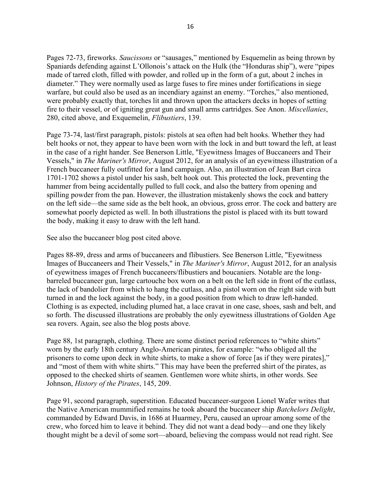Pages 72-73, fireworks. Saucissons or "sausages," mentioned by Esquemelin as being thrown by Spaniards defending against L'Ollonois's attack on the Hulk (the "Honduras ship"), were "pipes made of tarred cloth, filled with powder, and rolled up in the form of a gut, about 2 inches in diameter." They were normally used as large fuses to fire mines under fortifications in siege warfare, but could also be used as an incendiary against an enemy. "Torches," also mentioned, were probably exactly that, torches lit and thrown upon the attackers decks in hopes of setting fire to their vessel, or of igniting great gun and small arms cartridges. See Anon. Miscellanies, 280, cited above, and Exquemelin, Flibustiers, 139.

Page 73-74, last/first paragraph, pistols: pistols at sea often had belt hooks. Whether they had belt hooks or not, they appear to have been worn with the lock in and butt toward the left, at least in the case of a right hander. See Benerson Little, "Eyewitness Images of Buccaneers and Their Vessels," in The Mariner's Mirror, August 2012, for an analysis of an eyewitness illustration of a French buccaneer fully outfitted for a land campaign. Also, an illustration of Jean Bart circa 1701-1702 shows a pistol under his sash, belt hook out. This protected the lock, preventing the hammer from being accidentally pulled to full cock, and also the battery from opening and spilling powder from the pan. However, the illustration mistakenly shows the cock and battery on the left side—the same side as the belt hook, an obvious, gross error. The cock and battery are somewhat poorly depicted as well. In both illustrations the pistol is placed with its butt toward the body, making it easy to draw with the left hand.

See also the buccaneer blog post cited above.

Pages 88-89, dress and arms of buccaneers and flibustiers. See Benerson Little, "Eyewitness Images of Buccaneers and Their Vessels," in The Mariner's Mirror, August 2012, for an analysis of eyewitness images of French buccaneers/flibustiers and boucaniers. Notable are the longbarreled buccaneer gun, large cartouche box worn on a belt on the left side in front of the cutlass, the lack of bandolier from which to hang the cutlass, and a pistol worn on the right side with butt turned in and the lock against the body, in a good position from which to draw left-handed. Clothing is as expected, including plumed hat, a lace cravat in one case, shoes, sash and belt, and so forth. The discussed illustrations are probably the only eyewitness illustrations of Golden Age sea rovers. Again, see also the blog posts above.

Page 88, 1st paragraph, clothing. There are some distinct period references to "white shirts" worn by the early 18th century Anglo-American pirates, for example: "who obliged all the prisoners to come upon deck in white shirts, to make a show of force [as if they were pirates]," and "most of them with white shirts." This may have been the preferred shirt of the pirates, as opposed to the checked shirts of seamen. Gentlemen wore white shirts, in other words. See Johnson, History of the Pirates, 145, 209.

Page 91, second paragraph, superstition. Educated buccaneer-surgeon Lionel Wafer writes that the Native American mummified remains he took aboard the buccaneer ship Batchelors Delight, commanded by Edward Davis, in 1686 at Huarmey, Peru, caused an uproar among some of the crew, who forced him to leave it behind. They did not want a dead body—and one they likely thought might be a devil of some sort—aboard, believing the compass would not read right. See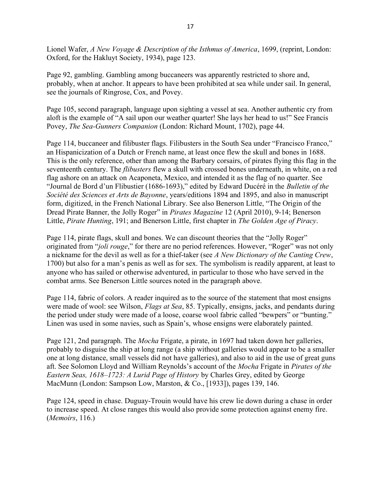Lionel Wafer, A New Voyage & Description of the Isthmus of America, 1699, (reprint, London: Oxford, for the Hakluyt Society, 1934), page 123.

Page 92, gambling. Gambling among buccaneers was apparently restricted to shore and, probably, when at anchor. It appears to have been prohibited at sea while under sail. In general, see the journals of Ringrose, Cox, and Povey.

Page 105, second paragraph, language upon sighting a vessel at sea. Another authentic cry from aloft is the example of "A sail upon our weather quarter! She lays her head to us!" See Francis Povey, The Sea-Gunners Companion (London: Richard Mount, 1702), page 44.

Page 114, buccaneer and filibuster flags. Filibusters in the South Sea under "Francisco Franco," an Hispanicization of a Dutch or French name, at least once flew the skull and bones in 1688. This is the only reference, other than among the Barbary corsairs, of pirates flying this flag in the seventeenth century. The flibusters flew a skull with crossed bones underneath, in white, on a red flag ashore on an attack on Acaponeta, Mexico, and intended it as the flag of no quarter. See "Journal de Bord d'un Flibustier (1686-1693)," edited by Edward Ducéré in the Bulletin of the Société des Sciences et Arts de Bayonne, years/editions 1894 and 1895, and also in manuscript form, digitized, in the French National Library. See also Benerson Little, "The Origin of the Dread Pirate Banner, the Jolly Roger" in *Pirates Magazine* 12 (April 2010), 9-14; Benerson Little, Pirate Hunting, 191; and Benerson Little, first chapter in The Golden Age of Piracy.

Page 114, pirate flags, skull and bones. We can discount theories that the "Jolly Roger" originated from "*joli rouge*," for there are no period references. However, "Roger" was not only a nickname for the devil as well as for a thief-taker (see A New Dictionary of the Canting Crew, 1700) but also for a man's penis as well as for sex. The symbolism is readily apparent, at least to anyone who has sailed or otherwise adventured, in particular to those who have served in the combat arms. See Benerson Little sources noted in the paragraph above.

Page 114, fabric of colors. A reader inquired as to the source of the statement that most ensigns were made of wool: see Wilson, *Flags at Sea*, 85. Typically, ensigns, jacks, and pendants during the period under study were made of a loose, coarse wool fabric called "bewpers" or "bunting." Linen was used in some navies, such as Spain's, whose ensigns were elaborately painted.

Page 121, 2nd paragraph. The Mocha Frigate, a pirate, in 1697 had taken down her galleries, probably to disguise the ship at long range (a ship without galleries would appear to be a smaller one at long distance, small vessels did not have galleries), and also to aid in the use of great guns aft. See Solomon Lloyd and William Reynolds's account of the Mocha Frigate in Pirates of the Eastern Seas, 1618–1723: A Lurid Page of History by Charles Grey, edited by George MacMunn (London: Sampson Low, Marston, & Co., [1933]), pages 139, 146.

Page 124, speed in chase. Duguay-Trouin would have his crew lie down during a chase in order to increase speed. At close ranges this would also provide some protection against enemy fire. (Memoirs, 116.)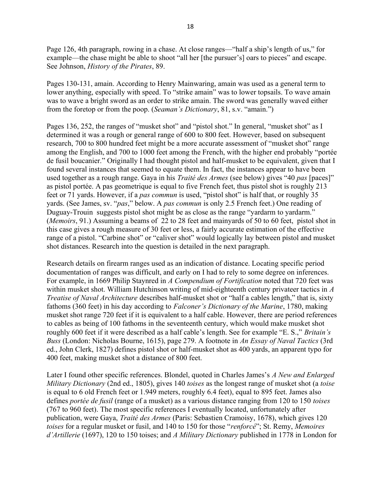Page 126, 4th paragraph, rowing in a chase. At close ranges—"half a ship's length of us," for example—the chase might be able to shoot "all her [the pursuer's] oars to pieces" and escape. See Johnson, History of the Pirates, 89.

Pages 130-131, amain. According to Henry Mainwaring, amain was used as a general term to lower anything, especially with speed. To "strike amain" was to lower topsails. To wave amain was to wave a bright sword as an order to strike amain. The sword was generally waved either from the foretop or from the poop. (Seaman's Dictionary, 81, s.v. "amain.")

Pages 136, 252, the ranges of "musket shot" and "pistol shot." In general, "musket shot" as I determined it was a rough or general range of 600 to 800 feet. However, based on subsequent research, 700 to 800 hundred feet might be a more accurate assessment of "musket shot" range among the English, and 700 to 1000 feet among the French, with the higher end probably "portée de fusil boucanier." Originally I had thought pistol and half-musket to be equivalent, given that I found several instances that seemed to equate them. In fact, the instances appear to have been used together as a rough range. Gaya in his *Traité des Armes* (see below) gives "40 pas [paces]" as pistol portée. A pas geometrique is equal to five French feet, thus pistol shot is roughly 213 feet or 71 yards. However, if a pas commun is used, "pistol shot" is half that, or roughly 35 yards. (See James, sv. "*pas*," below. A *pas commun* is only 2.5 French feet.) One reading of Duguay-Trouin suggests pistol shot might be as close as the range "yardarm to yardarm." (Memoirs, 91.) Assuming a beams of 22 to 28 feet and mainyards of 50 to 60 feet, pistol shot in this case gives a rough measure of 30 feet or less, a fairly accurate estimation of the effective range of a pistol. "Carbine shot" or "caliver shot" would logically lay between pistol and musket shot distances. Research into the question is detailed in the next paragraph.

Research details on firearm ranges used as an indication of distance. Locating specific period documentation of ranges was difficult, and early on I had to rely to some degree on inferences. For example, in 1669 Philip Staynred in A Compendium of Fortification noted that 720 feet was within musket shot. William Hutchinson writing of mid-eighteenth century privateer tactics in A Treatise of Naval Architecture describes half-musket shot or "half a cables length," that is, sixty fathoms (360 feet) in his day according to Falconer's Dictionary of the Marine, 1780, making musket shot range 720 feet if it is equivalent to a half cable. However, there are period references to cables as being of 100 fathoms in the seventeenth century, which would make musket shot roughly 600 feet if it were described as a half cable's length. See for example "E. S.," Britain's Buss (London: Nicholas Bourne, 1615), page 279. A footnote in An Essay of Naval Tactics (3rd ed., John Clerk, 1827) defines pistol shot or half-musket shot as 400 yards, an apparent typo for 400 feet, making musket shot a distance of 800 feet.

Later I found other specific references. Blondel, quoted in Charles James's A New and Enlarged Military Dictionary (2nd ed., 1805), gives 140 toises as the longest range of musket shot (a toise is equal to 6 old French feet or 1.949 meters, roughly 6.4 feet), equal to 895 feet. James also defines *portée de fusil* (range of a musket) as a various distance ranging from 120 to 150 *toises* (767 to 960 feet). The most specific references I eventually located, unfortunately after publication, were Gaya, Traité des Armes (Paris: Sebastien Cramoisy, 1678), which gives 120 toises for a regular musket or fusil, and 140 to 150 for those "renforcé"; St. Remy, Memoires d'Artillerie (1697), 120 to 150 toises; and A Military Dictionary published in 1778 in London for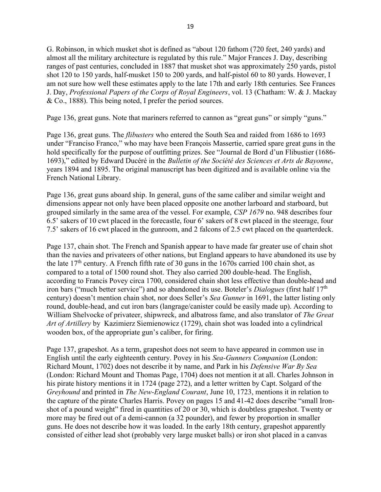G. Robinson, in which musket shot is defined as "about 120 fathom (720 feet, 240 yards) and almost all the military architecture is regulated by this rule." Major Frances J. Day, describing ranges of past centuries, concluded in 1887 that musket shot was approximately 250 yards, pistol shot 120 to 150 yards, half-musket 150 to 200 yards, and half-pistol 60 to 80 yards. However, I am not sure how well these estimates apply to the late 17th and early 18th centuries. See Frances J. Day, Professional Papers of the Corps of Royal Engineers, vol. 13 (Chatham: W. & J. Mackay & Co., 1888). This being noted, I prefer the period sources.

Page 136, great guns. Note that mariners referred to cannon as "great guns" or simply "guns."

Page 136, great guns. The flibusters who entered the South Sea and raided from 1686 to 1693 under "Franciso Franco," who may have been François Massertie, carried spare great guns in the hold specifically for the purpose of outfitting prizes. See "Journal de Bord d'un Flibustier (1686- 1693)," edited by Edward Ducéré in the Bulletin of the Société des Sciences et Arts de Bayonne, years 1894 and 1895. The original manuscript has been digitized and is available online via the French National Library.

Page 136, great guns aboard ship. In general, guns of the same caliber and similar weight and dimensions appear not only have been placed opposite one another larboard and starboard, but grouped similarly in the same area of the vessel. For example, CSP 1679 no. 948 describes four 6.5' sakers of 10 cwt placed in the forecastle, four 6' sakers of 8 cwt placed in the steerage, four 7.5' sakers of 16 cwt placed in the gunroom, and 2 falcons of 2.5 cwt placed on the quarterdeck.

Page 137, chain shot. The French and Spanish appear to have made far greater use of chain shot than the navies and privateers of other nations, but England appears to have abandoned its use by the late  $17<sup>th</sup>$  century. A French fifth rate of 30 guns in the 1670s carried 100 chain shot, as compared to a total of 1500 round shot. They also carried 200 double-head. The English, according to Francis Povey circa 1700, considered chain shot less effective than double-head and iron bars ("much better service") and so abandoned its use. Boteler's *Dialogues* (first half  $17<sup>th</sup>$ century) doesn't mention chain shot, nor does Seller's Sea Gunner in 1691, the latter listing only round, double-head, and cut iron bars (langrage/canister could be easily made up). According to William Shelvocke of privateer, shipwreck, and albatross fame, and also translator of The Great Art of Artillery by Kazimierz Siemienowicz (1729), chain shot was loaded into a cylindrical wooden box, of the appropriate gun's caliber, for firing.

Page 137, grapeshot. As a term, grapeshot does not seem to have appeared in common use in English until the early eighteenth century. Povey in his Sea-Gunners Companion (London: Richard Mount, 1702) does not describe it by name, and Park in his Defensive War By Sea (London: Richard Mount and Thomas Page, 1704) does not mention it at all. Charles Johnson in his pirate history mentions it in 1724 (page 272), and a letter written by Capt. Solgard of the Greyhound and printed in The New-England Courant, June 10, 1723, mentions it in relation to the capture of the pirate Charles Harris. Povey on pages 15 and 41-42 does describe "small Ironshot of a pound weight" fired in quantities of 20 or 30, which is doubtless grapeshot. Twenty or more may be fired out of a demi-cannon (a 32 pounder), and fewer by proportion in smaller guns. He does not describe how it was loaded. In the early 18th century, grapeshot apparently consisted of either lead shot (probably very large musket balls) or iron shot placed in a canvas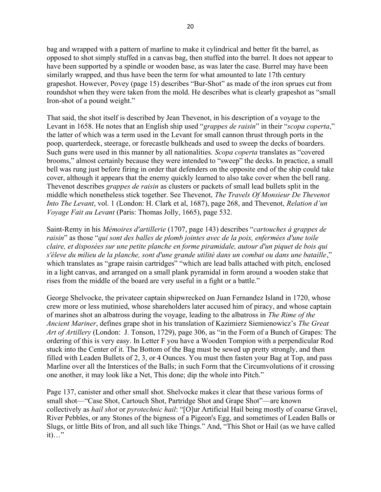bag and wrapped with a pattern of marline to make it cylindrical and better fit the barrel, as opposed to shot simply stuffed in a canvas bag, then stuffed into the barrel. It does not appear to have been supported by a spindle or wooden base, as was later the case. Burrel may have been similarly wrapped, and thus have been the term for what amounted to late 17th century grapeshot. However, Povey (page 15) describes "Bur-Shot" as made of the iron sprues cut from roundshot when they were taken from the mold. He describes what is clearly grapeshot as "small Iron-shot of a pound weight."

That said, the shot itself is described by Jean Thevenot, in his description of a voyage to the Levant in 1658. He notes that an English ship used "grappes de raisin" in their "scopa coperta," the latter of which was a term used in the Levant for small cannon thrust through ports in the poop, quarterdeck, steerage, or forecastle bulkheads and used to sweep the decks of boarders. Such guns were used in this manner by all nationalities. *Scopa coperta* translates as "covered brooms," almost certainly because they were intended to "sweep" the decks. In practice, a small bell was rung just before firing in order that defenders on the opposite end of the ship could take cover, although it appears that the enemy quickly learned to also take cover when the bell rang. Thevenot describes *grappes de raisin* as clusters or packets of small lead bullets split in the middle which nonetheless stick together. See Thevenot, The Travels Of Monsieur De Thevenot Into The Levant, vol. 1 (London: H. Clark et al, 1687), page 268, and Thevenot, Relation d'un Voyage Fait au Levant (Paris: Thomas Jolly, 1665), page 532.

Saint-Remy in his Mémoires d'artillerie (1707, page 143) describes "cartouches à grappes de raisin" as those "qui sont des balles de plomb jointes avec de la poix, enfermées d'une toile claire, et disposées sur une petite planche en forme piramidale, autour d'un piquet de bois qui s'éleve du milieu de la planche, sont d'une grande utilité dans un combat ou dans une bataille," which translates as "grape raisin cartridges" "which are lead balls attached with pitch, enclosed in a light canvas, and arranged on a small plank pyramidal in form around a wooden stake that rises from the middle of the board are very useful in a fight or a battle."

George Shelvocke, the privateer captain shipwrecked on Juan Fernandez Island in 1720, whose crew more or less mutinied, whose shareholders later accused him of piracy, and whose captain of marines shot an albatross during the voyage, leading to the albatross in The Rime of the Ancient Mariner, defines grape shot in his translation of Kazimierz Siemienowicz's The Great Art of Artillery (London: J. Tonson, 1729), page 306, as "in the Form of a Bunch of Grapes: The ordering of this is very easy. In Letter F you have a Wooden Tompion with a perpendicular Rod stuck into the Center of it. The Bottom of the Bag must be sewed up pretty strongly, and then filled with Leaden Bullets of 2, 3, or 4 Ounces. You must then fasten your Bag at Top, and pass Marline over all the Interstices of the Balls; in such Form that the Circumvolutions of it crossing one another, it may look like a Net, This done; dip the whole into Pitch."

Page 137, canister and other small shot. Shelvocke makes it clear that these various forms of small shot—"Case Shot, Cartouch Shot, Partridge Shot and Grape Shot"—are known collectively as hail shot or pyrotechnic hail: "[O]ur Artificial Hail being mostly of coarse Gravel, River Pebbles, or any Stones of the bigness of a Pigeon's Egg, and sometimes of Leaden Balls or Slugs, or little Bits of Iron, and all such like Things." And, "This Shot or Hail (as we have called it)…"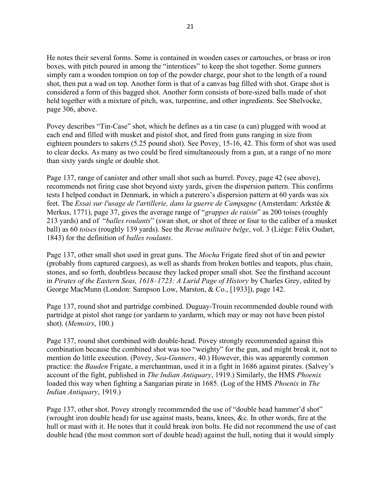He notes their several forms. Some is contained in wooden cases or cartouches, or brass or iron boxes, with pitch poured in among the "interstices" to keep the shot together. Some gunners simply ram a wooden tompion on top of the powder charge, pour shot to the length of a round shot, then put a wad on top. Another form is that of a canvas bag filled with shot. Grape shot is considered a form of this bagged shot. Another form consists of bore-sized balls made of shot held together with a mixture of pitch, wax, turpentine, and other ingredients. See Shelvocke, page 306, above.

Povey describes "Tin-Case" shot, which he defines as a tin case (a can) plugged with wood at each end and filled with musket and pistol shot, and fired from guns ranging in size from eighteen pounders to sakers (5.25 pound shot). See Povey, 15-16, 42. This form of shot was used to clear decks. As many as two could be fired simultaneously from a gun, at a range of no more than sixty yards single or double shot.

Page 137, range of canister and other small shot such as burrel. Povey, page 42 (see above), recommends not firing case shot beyond sixty yards, given the dispersion pattern. This confirms tests I helped conduct in Denmark, in which a paterero's dispersion pattern at 60 yards was six feet. The Essai sur l'usage de l'artillerie, dans la guerre de Campagne (Amsterdam: Arkstée & Merkus, 1771), page 37, gives the average range of "grappes de raisin" as 200 toises (roughly 213 yards) and of "balles roulants" (swan shot, or shot of three or four to the caliber of a musket ball) as 60 toises (roughly 139 yards). See the Revue militaire belge, vol. 3 (Liége: Félix Oudart, 1843) for the definition of balles roulants.

Page 137, other small shot used in great guns. The *Mocha* Frigate fired shot of tin and pewter (probably from captured cargoes), as well as shards from broken bottles and teapots, plus chain, stones, and so forth, doubtless because they lacked proper small shot. See the firsthand account in Pirates of the Eastern Seas, 1618–1723: A Lurid Page of History by Charles Grey, edited by George MacMunn (London: Sampson Low, Marston, & Co., [1933]), page 142.

Page 137, round shot and partridge combined. Duguay-Trouin recommended double round with partridge at pistol shot range (or yardarm to yardarm, which may or may not have been pistol shot). (Memoirs, 100.)

Page 137, round shot combined with double-head. Povey strongly recommended against this combination because the combined shot was too "weighty" for the gun, and might break it, not to mention do little execution. (Povey, Sea-Gunners, 40.) However, this was apparently common practice: the Bauden Frigate, a merchantman, used it in a fight in 1686 against pirates. (Salvey's account of the fight, published in *The Indian Antiquary*, 1919.) Similarly, the HMS *Phoenix* loaded this way when fighting a Sangarian pirate in 1685. (Log of the HMS *Phoenix* in *The* Indian Antiquary, 1919.)

Page 137, other shot. Povey strongly recommended the use of "double head hammer'd shot" (wrought iron double head) for use against masts, beans, knees, &c. In other words, fire at the hull or mast with it. He notes that it could break iron bolts. He did not recommend the use of cast double head (the most common sort of double head) against the hull, noting that it would simply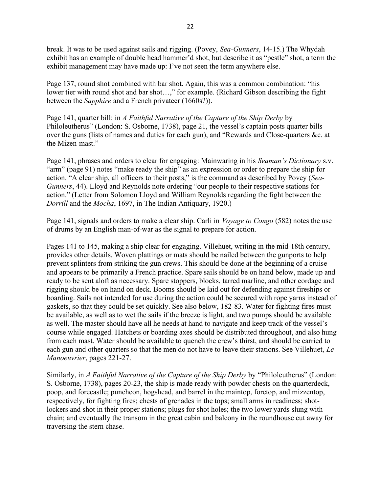break. It was to be used against sails and rigging. (Povey, Sea-Gunners, 14-15.) The Whydah exhibit has an example of double head hammer'd shot, but describe it as "pestle" shot, a term the exhibit management may have made up: I've not seen the term anywhere else.

Page 137, round shot combined with bar shot. Again, this was a common combination: "his lower tier with round shot and bar shot...," for example. (Richard Gibson describing the fight between the Sapphire and a French privateer (1660s?)).

Page 141, quarter bill: in A Faithful Narrative of the Capture of the Ship Derby by Philoleutherus" (London: S. Osborne, 1738), page 21, the vessel's captain posts quarter bills over the guns (lists of names and duties for each gun), and "Rewards and Close-quarters &c. at the Mizen-mast."

Page 141, phrases and orders to clear for engaging: Mainwaring in his Seaman's Dictionary s.v. "arm" (page 91) notes "make ready the ship" as an expression or order to prepare the ship for action. "A clear ship, all officers to their posts," is the command as described by Povey (Sea-Gunners, 44). Lloyd and Reynolds note ordering "our people to their respective stations for action." (Letter from Solomon Lloyd and William Reynolds regarding the fight between the Dorrill and the Mocha, 1697, in The Indian Antiquary, 1920.)

Page 141, signals and orders to make a clear ship. Carli in *Voyage to Congo* (582) notes the use of drums by an English man-of-war as the signal to prepare for action.

Pages 141 to 145, making a ship clear for engaging. Villehuet, writing in the mid-18th century, provides other details. Woven plattings or mats should be nailed between the gunports to help prevent splinters from striking the gun crews. This should be done at the beginning of a cruise and appears to be primarily a French practice. Spare sails should be on hand below, made up and ready to be sent aloft as necessary. Spare stoppers, blocks, tarred marline, and other cordage and rigging should be on hand on deck. Booms should be laid out for defending against fireships or boarding. Sails not intended for use during the action could be secured with rope yarns instead of gaskets, so that they could be set quickly. See also below, 182-83. Water for fighting fires must be available, as well as to wet the sails if the breeze is light, and two pumps should be available as well. The master should have all he needs at hand to navigate and keep track of the vessel's course while engaged. Hatchets or boarding axes should be distributed throughout, and also hung from each mast. Water should be available to quench the crew's thirst, and should be carried to each gun and other quarters so that the men do not have to leave their stations. See Villehuet, Le Manoeuvrier, pages 221-27.

Similarly, in A Faithful Narrative of the Capture of the Ship Derby by "Philoleutherus" (London: S. Osborne, 1738), pages 20-23, the ship is made ready with powder chests on the quarterdeck, poop, and forecastle; puncheon, hogshead, and barrel in the maintop, foretop, and mizzentop, respectively, for fighting fires; chests of grenades in the tops; small arms in readiness; shotlockers and shot in their proper stations; plugs for shot holes; the two lower yards slung with chain; and eventually the transom in the great cabin and balcony in the roundhouse cut away for traversing the stern chase.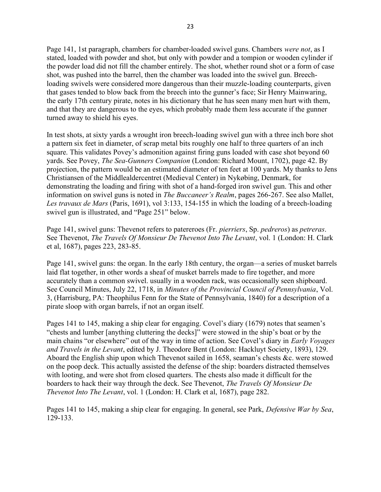Page 141, 1st paragraph, chambers for chamber-loaded swivel guns. Chambers were not, as I stated, loaded with powder and shot, but only with powder and a tompion or wooden cylinder if the powder load did not fill the chamber entirely. The shot, whether round shot or a form of case shot, was pushed into the barrel, then the chamber was loaded into the swivel gun. Breechloading swivels were considered more dangerous than their muzzle-loading counterparts, given that gases tended to blow back from the breech into the gunner's face; Sir Henry Mainwaring, the early 17th century pirate, notes in his dictionary that he has seen many men hurt with them, and that they are dangerous to the eyes, which probably made them less accurate if the gunner turned away to shield his eyes.

In test shots, at sixty yards a wrought iron breech-loading swivel gun with a three inch bore shot a pattern six feet in diameter, of scrap metal bits roughly one half to three quarters of an inch square. This validates Povey's admonition against firing guns loaded with case shot beyond 60 yards. See Povey, The Sea-Gunners Companion (London: Richard Mount, 1702), page 42. By projection, the pattern would be an estimated diameter of ten feet at 100 yards. My thanks to Jens Christiansen of the Middlealdercentret (Medieval Center) in Nykøbing, Denmark, for demonstrating the loading and firing with shot of a hand-forged iron swivel gun. This and other information on swivel guns is noted in *The Buccaneer's Realm*, pages 266-267. See also Mallet, Les travaux de Mars (Paris, 1691), vol 3:133, 154-155 in which the loading of a breech-loading swivel gun is illustrated, and "Page 251" below.

Page 141, swivel guns: Thevenot refers to patereroes (Fr. *pierriers*, Sp. *pedreros*) as *petreras*. See Thevenot, The Travels Of Monsieur De Thevenot Into The Levant, vol. 1 (London: H. Clark et al, 1687), pages 223, 283-85.

Page 141, swivel guns: the organ. In the early 18th century, the organ—a series of musket barrels laid flat together, in other words a sheaf of musket barrels made to fire together, and more accurately than a common swivel. usually in a wooden rack, was occasionally seen shipboard. See Council Minutes, July 22, 1718, in *Minutes of the Provincial Council of Pennsylvania*, Vol. 3, (Harrisburg, PA: Theophilus Fenn for the State of Pennsylvania, 1840) for a description of a pirate sloop with organ barrels, if not an organ itself.

Pages 141 to 145, making a ship clear for engaging. Covel's diary (1679) notes that seamen's "chests and lumber [anything cluttering the decks]" were stowed in the ship's boat or by the main chains "or elsewhere" out of the way in time of action. See Covel's diary in Early Voyages and Travels in the Levant, edited by J. Theodore Bent (London: Hackluyt Society, 1893), 129. Aboard the English ship upon which Thevenot sailed in 1658, seaman's chests &c. were stowed on the poop deck. This actually assisted the defense of the ship: boarders distracted themselves with looting, and were shot from closed quarters. The chests also made it difficult for the boarders to hack their way through the deck. See Thevenot, *The Travels Of Monsieur De* Thevenot Into The Levant, vol. 1 (London: H. Clark et al, 1687), page 282.

Pages 141 to 145, making a ship clear for engaging. In general, see Park, Defensive War by Sea, 129-133.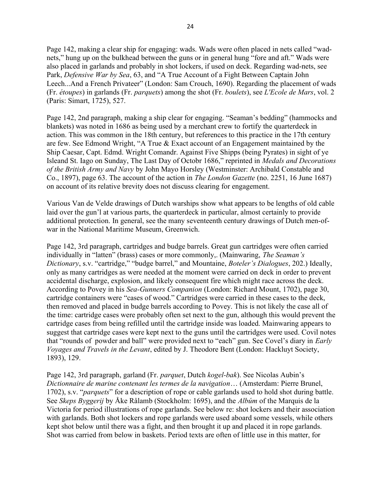Page 142, making a clear ship for engaging: wads. Wads were often placed in nets called "wadnets," hung up on the bulkhead between the guns or in general hung "fore and aft." Wads were also placed in garlands and probably in shot lockers, if used on deck. Regarding wad-nets, see Park, Defensive War by Sea, 63, and "A True Account of a Fight Between Captain John Leech...And a French Privateer" (London: Sam Crouch, 1690). Regarding the placement of wads (Fr. étoupes) in garlands (Fr. parquets) among the shot (Fr. boulets), see L'Ecole de Mars, vol. 2 (Paris: Simart, 1725), 527.

Page 142, 2nd paragraph, making a ship clear for engaging. "Seaman's bedding" (hammocks and blankets) was noted in 1686 as being used by a merchant crew to fortify the quarterdeck in action. This was common in the 18th century, but references to this practice in the 17th century are few. See Edmond Wright, "A True & Exact account of an Engagement maintained by the Ship Caesar, Capt. Edmd. Wright Comandr. Against Five Shipps (being Pyrates) in sight of ye Isleand St. Iago on Sunday, The Last Day of Octobr 1686," reprinted in Medals and Decorations of the British Army and Navy by John Mayo Horsley (Westminster: Archibald Constable and Co., 1897), page 63. The account of the action in The London Gazette (no. 2251, 16 June 1687) on account of its relative brevity does not discuss clearing for engagement.

Various Van de Velde drawings of Dutch warships show what appears to be lengths of old cable laid over the gun'l at various parts, the quarterdeck in particular, almost certainly to provide additional protection. In general, see the many seventeenth century drawings of Dutch men-ofwar in the National Maritime Museum, Greenwich.

Page 142, 3rd paragraph, cartridges and budge barrels. Great gun cartridges were often carried individually in "latten" (brass) cases or more commonly,. (Mainwaring, The Seaman's Dictionary, s.v. "cartridge," "budge barrel," and Mountaine, Boteler's Dialogues, 202.) Ideally, only as many cartridges as were needed at the moment were carried on deck in order to prevent accidental discharge, explosion, and likely consequent fire which might race across the deck. According to Povey in his Sea-Gunners Companion (London: Richard Mount, 1702), page 30, cartridge containers were "cases of wood." Cartridges were carried in these cases to the deck, then removed and placed in budge barrels according to Povey. This is not likely the case all of the time: cartridge cases were probably often set next to the gun, although this would prevent the cartridge cases from being refilled until the cartridge inside was loaded. Mainwaring appears to suggest that cartridge cases were kept next to the guns until the cartridges were used. Covil notes that "rounds of powder and ball" were provided next to "each" gun. See Covel's diary in *Early* Voyages and Travels in the Levant, edited by J. Theodore Bent (London: Hackluyt Society, 1893), 129.

Page 142, 3rd paragraph, garland (Fr. parquet, Dutch kogel-bak). See Nicolas Aubin's Dictionnaire de marine contenant les termes de la navigation… (Amsterdam: Pierre Brunel, 1702), s.v. "*parquets*" for a description of rope or cable garlands used to hold shot during battle. See *Skeps Byggerij* by Åke Rålamb (Stockholm: 1695), and the *Albúm* of the Marquis de la Victoria for period illustrations of rope garlands. See below re: shot lockers and their association with garlands. Both shot lockers and rope garlands were used aboard some vessels, while others kept shot below until there was a fight, and then brought it up and placed it in rope garlands. Shot was carried from below in baskets. Period texts are often of little use in this matter, for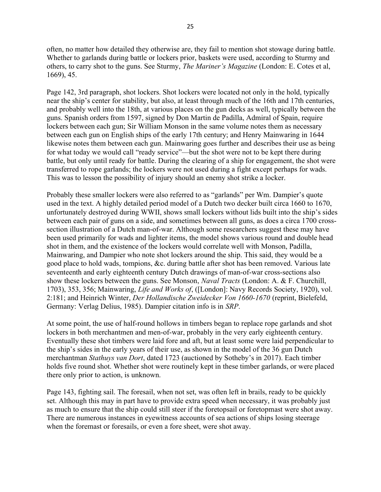often, no matter how detailed they otherwise are, they fail to mention shot stowage during battle. Whether to garlands during battle or lockers prior, baskets were used, according to Sturmy and others, to carry shot to the guns. See Sturmy, *The Mariner's Magazine* (London: E. Cotes et al, 1669), 45.

Page 142, 3rd paragraph, shot lockers. Shot lockers were located not only in the hold, typically near the ship's center for stability, but also, at least through much of the 16th and 17th centuries, and probably well into the 18th, at various places on the gun decks as well, typically between the guns. Spanish orders from 1597, signed by Don Martin de Padilla, Admiral of Spain, require lockers between each gun; Sir William Monson in the same volume notes them as necessary between each gun on English ships of the early 17th century; and Henry Mainwaring in 1644 likewise notes them between each gun. Mainwaring goes further and describes their use as being for what today we would call "ready service"—but the shot were not to be kept there during battle, but only until ready for battle. During the clearing of a ship for engagement, the shot were transferred to rope garlands; the lockers were not used during a fight except perhaps for wads. This was to lesson the possibility of injury should an enemy shot strike a locker.

Probably these smaller lockers were also referred to as "garlands" per Wm. Dampier's quote used in the text. A highly detailed period model of a Dutch two decker built circa 1660 to 1670, unfortunately destroyed during WWII, shows small lockers without lids built into the ship's sides between each pair of guns on a side, and sometimes between all guns, as does a circa 1700 crosssection illustration of a Dutch man-of-war. Although some researchers suggest these may have been used primarily for wads and lighter items, the model shows various round and double head shot in them, and the existence of the lockers would correlate well with Monson, Padilla, Mainwaring, and Dampier who note shot lockers around the ship. This said, they would be a good place to hold wads, tompions, &c. during battle after shot has been removed. Various late seventeenth and early eighteenth century Dutch drawings of man-of-war cross-sections also show these lockers between the guns. See Monson, Naval Tracts (London: A. & F. Churchill, 1703), 353, 356; Mainwaring, Life and Works of, ([London]: Navy Records Society, 1920), vol. 2:181; and Heinrich Winter, Der Hollandische Zweidecker Von 1660-1670 (reprint, Bielefeld, Germany: Verlag Delius, 1985). Dampier citation info is in SRP.

At some point, the use of half-round hollows in timbers began to replace rope garlands and shot lockers in both merchantmen and men-of-war, probably in the very early eighteenth century. Eventually these shot timbers were laid fore and aft, but at least some were laid perpendicular to the ship's sides in the early years of their use, as shown in the model of the 36 gun Dutch merchantman Stathuys van Dort, dated 1723 (auctioned by Sotheby's in 2017). Each timber holds five round shot. Whether shot were routinely kept in these timber garlands, or were placed there only prior to action, is unknown.

Page 143, fighting sail. The foresail, when not set, was often left in brails, ready to be quickly set. Although this may in part have to provide extra speed when necessary, it was probably just as much to ensure that the ship could still steer if the foretopsail or foretopmast were shot away. There are numerous instances in eyewitness accounts of sea actions of ships losing steerage when the foremast or foresails, or even a fore sheet, were shot away.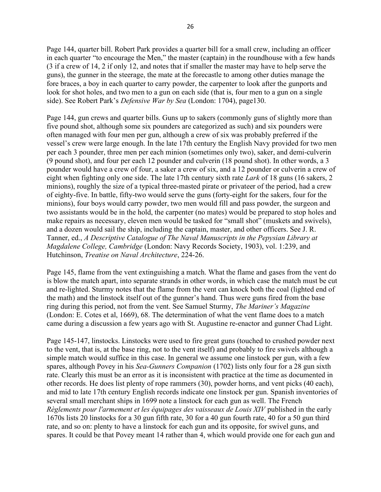Page 144, quarter bill. Robert Park provides a quarter bill for a small crew, including an officer in each quarter "to encourage the Men," the master (captain) in the roundhouse with a few hands (3 if a crew of 14, 2 if only 12, and notes that if smaller the master may have to help serve the guns), the gunner in the steerage, the mate at the forecastle to among other duties manage the fore braces, a boy in each quarter to carry powder, the carpenter to look after the gunports and look for shot holes, and two men to a gun on each side (that is, four men to a gun on a single side). See Robert Park's *Defensive War by Sea* (London: 1704), page130.

Page 144, gun crews and quarter bills. Guns up to sakers (commonly guns of slightly more than five pound shot, although some six pounders are categorized as such) and six pounders were often managed with four men per gun, although a crew of six was probably preferred if the vessel's crew were large enough. In the late 17th century the English Navy provided for two men per each 3 pounder, three men per each minion (sometimes only two), saker, and demi-culverin (9 pound shot), and four per each 12 pounder and culverin (18 pound shot). In other words, a 3 pounder would have a crew of four, a saker a crew of six, and a 12 pounder or culverin a crew of eight when fighting only one side. The late 17th century sixth rate Lark of 18 guns (16 sakers, 2 minions), roughly the size of a typical three-masted pirate or privateer of the period, had a crew of eighty-five. In battle, fifty-two would serve the guns (forty-eight for the sakers, four for the minions), four boys would carry powder, two men would fill and pass powder, the surgeon and two assistants would be in the hold, the carpenter (no mates) would be prepared to stop holes and make repairs as necessary, eleven men would be tasked for "small shot" (muskets and swivels), and a dozen would sail the ship, including the captain, master, and other officers. See J. R. Tanner, ed., A Descriptive Catalogue of The Naval Manuscripts in the Pepysian Library at Magdalene College, Cambridge (London: Navy Records Society, 1903), vol. 1:239, and Hutchinson, Treatise on Naval Architecture, 224-26.

Page 145, flame from the vent extinguishing a match. What the flame and gases from the vent do is blow the match apart, into separate strands in other words, in which case the match must be cut and re-lighted. Sturmy notes that the flame from the vent can knock both the coal (lighted end of the math) and the linstock itself out of the gunner's hand. Thus were guns fired from the base ring during this period, not from the vent. See Samuel Sturmy, The Mariner's Magazine (London: E. Cotes et al, 1669), 68. The determination of what the vent flame does to a match came during a discussion a few years ago with St. Augustine re-enactor and gunner Chad Light.

Page 145-147, linstocks. Linstocks were used to fire great guns (touched to crushed powder next to the vent, that is, at the base ring, not to the vent itself) and probably to fire swivels although a simple match would suffice in this case. In general we assume one linstock per gun, with a few spares, although Povey in his Sea-Gunners Companion (1702) lists only four for a 28 gun sixth rate. Clearly this must be an error as it is inconsistent with practice at the time as documented in other records. He does list plenty of rope rammers (30), powder horns, and vent picks (40 each), and mid to late 17th century English records indicate one linstock per gun. Spanish inventories of several small merchant ships in 1699 note a linstock for each gun as well. The French Règlements pour l'armement et les équipages des vaisseaux de Louis XIV published in the early 1670s lists 20 linstocks for a 30 gun fifth rate, 30 for a 40 gun fourth rate, 40 for a 50 gun third rate, and so on: plenty to have a linstock for each gun and its opposite, for swivel guns, and spares. It could be that Povey meant 14 rather than 4, which would provide one for each gun and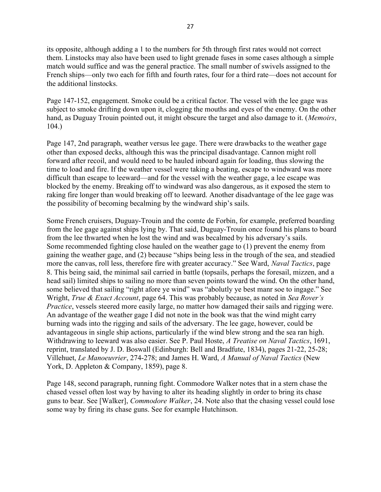its opposite, although adding a 1 to the numbers for 5th through first rates would not correct them. Linstocks may also have been used to light grenade fuses in some cases although a simple match would suffice and was the general practice. The small number of swivels assigned to the French ships—only two each for fifth and fourth rates, four for a third rate—does not account for the additional linstocks.

Page 147-152, engagement. Smoke could be a critical factor. The vessel with the lee gage was subject to smoke drifting down upon it, clogging the mouths and eyes of the enemy. On the other hand, as Duguay Trouin pointed out, it might obscure the target and also damage to it. (Memoirs, 104.)

Page 147, 2nd paragraph, weather versus lee gage. There were drawbacks to the weather gage other than exposed decks, although this was the principal disadvantage. Cannon might roll forward after recoil, and would need to be hauled inboard again for loading, thus slowing the time to load and fire. If the weather vessel were taking a beating, escape to windward was more difficult than escape to leeward—and for the vessel with the weather gage, a lee escape was blocked by the enemy. Breaking off to windward was also dangerous, as it exposed the stern to raking fire longer than would breaking off to leeward. Another disadvantage of the lee gage was the possibility of becoming becalming by the windward ship's sails.

Some French cruisers, Duguay-Trouin and the comte de Forbin, for example, preferred boarding from the lee gage against ships lying by. That said, Duguay-Trouin once found his plans to board from the lee thwarted when he lost the wind and was becalmed by his adversary's sails. Some recommended fighting close hauled on the weather gage to (1) prevent the enemy from gaining the weather gage, and (2) because "ships being less in the trough of the sea, and steadied more the canvas, roll less, therefore fire with greater accuracy." See Ward, *Naval Tactics*, page 8. This being said, the minimal sail carried in battle (topsails, perhaps the foresail, mizzen, and a head sail) limited ships to sailing no more than seven points toward the wind. On the other hand, some believed that sailing "right afore ye wind" was "abolutly ye best manr soe to ingage." See Wright, *True & Exact Account*, page 64. This was probably because, as noted in Sea Rover's Practice, vessels steered more easily large, no matter how damaged their sails and rigging were. An advantage of the weather gage I did not note in the book was that the wind might carry burning wads into the rigging and sails of the adversary. The lee gage, however, could be advantageous in single ship actions, particularly if the wind blew strong and the sea ran high. Withdrawing to leeward was also easier. See P. Paul Hoste, A Treatise on Naval Tactics, 1691, reprint, translated by J. D. Boswall (Edinburgh: Bell and Bradfute, 1834), pages 21-22, 25-28; Villehuet, Le Manoeuvrier, 274-278; and James H. Ward, A Manual of Naval Tactics (New York, D. Appleton & Company, 1859), page 8.

Page 148, second paragraph, running fight. Commodore Walker notes that in a stern chase the chased vessel often lost way by having to alter its heading slightly in order to bring its chase guns to bear. See [Walker], *Commodore Walker*, 24. Note also that the chasing vessel could lose some way by firing its chase guns. See for example Hutchinson.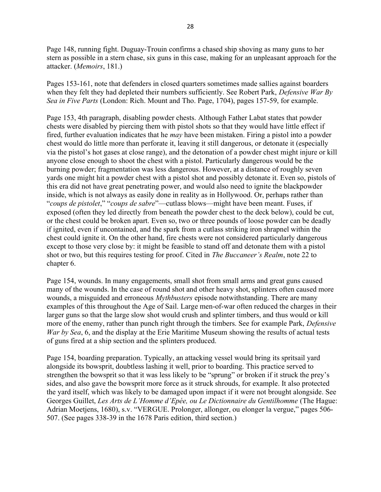Page 148, running fight. Duguay-Trouin confirms a chased ship shoving as many guns to her stern as possible in a stern chase, six guns in this case, making for an unpleasant approach for the attacker. (Memoirs, 181.)

Pages 153-161, note that defenders in closed quarters sometimes made sallies against boarders when they felt they had depleted their numbers sufficiently. See Robert Park, *Defensive War By* Sea in Five Parts (London: Rich. Mount and Tho. Page, 1704), pages 157-59, for example.

Page 153, 4th paragraph, disabling powder chests. Although Father Labat states that powder chests were disabled by piercing them with pistol shots so that they would have little effect if fired, further evaluation indicates that he *may* have been mistaken. Firing a pistol into a powder chest would do little more than perforate it, leaving it still dangerous, or detonate it (especially via the pistol's hot gases at close range), and the detonation of a powder chest might injure or kill anyone close enough to shoot the chest with a pistol. Particularly dangerous would be the burning powder; fragmentation was less dangerous. However, at a distance of roughly seven yards one might hit a powder chest with a pistol shot and possibly detonate it. Even so, pistols of this era did not have great penetrating power, and would also need to ignite the blackpowder inside, which is not always as easily done in reality as in Hollywood. Or, perhaps rather than "coups de pistolet," "coups de sabre"—cutlass blows—might have been meant. Fuses, if exposed (often they led directly from beneath the powder chest to the deck below), could be cut, or the chest could be broken apart. Even so, two or three pounds of loose powder can be deadly if ignited, even if uncontained, and the spark from a cutlass striking iron shrapnel within the chest could ignite it. On the other hand, fire chests were not considered particularly dangerous except to those very close by: it might be feasible to stand off and detonate them with a pistol shot or two, but this requires testing for proof. Cited in *The Buccaneer's Realm*, note 22 to chapter 6.

Page 154, wounds. In many engagements, small shot from small arms and great guns caused many of the wounds. In the case of round shot and other heavy shot, splinters often caused more wounds, a misguided and erroneous *Mythbusters* episode notwithstanding. There are many examples of this throughout the Age of Sail. Large men-of-war often reduced the charges in their larger guns so that the large slow shot would crush and splinter timbers, and thus would or kill more of the enemy, rather than punch right through the timbers. See for example Park, *Defensive* War by Sea, 6, and the display at the Erie Maritime Museum showing the results of actual tests of guns fired at a ship section and the splinters produced.

Page 154, boarding preparation. Typically, an attacking vessel would bring its spritsail yard alongside its bowsprit, doubtless lashing it well, prior to boarding. This practice served to strengthen the bowsprit so that it was less likely to be "sprung" or broken if it struck the prey's sides, and also gave the bowsprit more force as it struck shrouds, for example. It also protected the yard itself, which was likely to be damaged upon impact if it were not brought alongside. See Georges Guillet, Les Arts de L'Homme d'Epée, ou Le Dictionnaire du Gentilhomme (The Hague: Adrian Moetjens, 1680), s.v. "VERGUE. Prolonger, allonger, ou elonger la vergue," pages 506- 507. (See pages 338-39 in the 1678 Paris edition, third section.)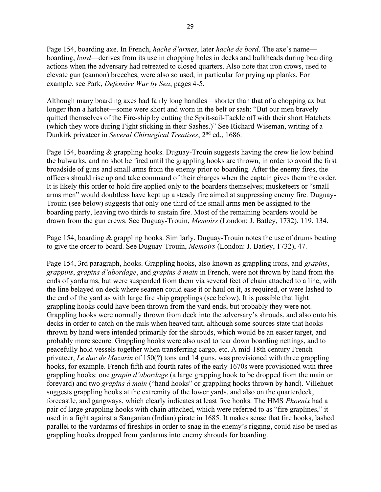Page 154, boarding axe. In French, *hache d'armes*, later *hache de bord*. The axe's name boarding, *bord*—derives from its use in chopping holes in decks and bulkheads during boarding actions when the adversary had retreated to closed quarters. Also note that iron crows, used to elevate gun (cannon) breeches, were also so used, in particular for prying up planks. For example, see Park, *Defensive War by Sea*, pages 4-5.

Although many boarding axes had fairly long handles—shorter than that of a chopping ax but longer than a hatchet—some were short and worn in the belt or sash: "But our men bravely quitted themselves of the Fire-ship by cutting the Sprit-sail-Tackle off with their short Hatchets (which they wore during Fight sticking in their Sashes.)" See Richard Wiseman, writing of a Dunkirk privateer in Several Chirurgical Treatises, 2<sup>nd</sup> ed., 1686.

Page 154, boarding & grappling hooks. Duguay-Trouin suggests having the crew lie low behind the bulwarks, and no shot be fired until the grappling hooks are thrown, in order to avoid the first broadside of guns and small arms from the enemy prior to boarding. After the enemy fires, the officers should rise up and take command of their charges when the captain gives them the order. It is likely this order to hold fire applied only to the boarders themselves; musketeers or "small arms men" would doubtless have kept up a steady fire aimed at suppressing enemy fire. Duguay-Trouin (see below) suggests that only one third of the small arms men be assigned to the boarding party, leaving two thirds to sustain fire. Most of the remaining boarders would be drawn from the gun crews. See Duguay-Trouin, Memoirs (London: J. Batley, 1732), 119, 134.

Page 154, boarding & grappling hooks. Similarly, Duguay-Trouin notes the use of drums beating to give the order to board. See Duguay-Trouin, Memoirs (London: J. Batley, 1732), 47.

Page 154, 3rd paragraph, hooks. Grappling hooks, also known as grappling irons, and grapins, grappins, grapins d'abordage, and grapins á main in French, were not thrown by hand from the ends of yardarms, but were suspended from them via several feet of chain attached to a line, with the line belayed on deck where seamen could ease it or haul on it, as required, or were lashed to the end of the yard as with large fire ship grapplings (see below). It is possible that light grappling hooks could have been thrown from the yard ends, but probably they were not. Grappling hooks were normally thrown from deck into the adversary's shrouds, and also onto his decks in order to catch on the rails when heaved taut, although some sources state that hooks thrown by hand were intended primarily for the shrouds, which would be an easier target, and probably more secure. Grappling hooks were also used to tear down boarding nettings, and to peacefully hold vessels together when transferring cargo, etc. A mid-18th century French privateer, Le duc de Mazarin of 150(?) tons and 14 guns, was provisioned with three grappling hooks, for example. French fifth and fourth rates of the early 1670s were provisioned with three grappling hooks: one grapin d'abordage (a large grapping hook to be dropped from the main or foreyard) and two grapins á main ("hand hooks" or grappling hooks thrown by hand). Villehuet suggests grappling hooks at the extremity of the lower yards, and also on the quarterdeck, forecastle, and gangways, which clearly indicates at least five hooks. The HMS Phoenix had a pair of large grappling hooks with chain attached, which were referred to as "fire graplines," it used in a fight against a Sanganian (Indian) pirate in 1685. It makes sense that fire hooks, lashed parallel to the yardarms of fireships in order to snag in the enemy's rigging, could also be used as grappling hooks dropped from yardarms into enemy shrouds for boarding.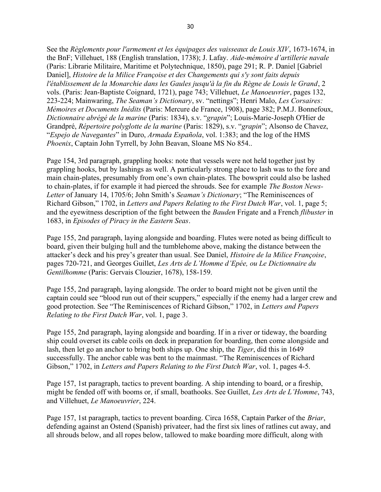See the Règlements pour l'armement et les équipages des vaisseaux de Louis XIV, 1673-1674, in the BnF; Villehuet, 188 (English translation, 1738); J. Lafay. Aide-mémoire d'artillerie navale (Paris: Librarie Militaire, Maritime et Polytechnique, 1850), page 291; R. P. Daniel [Gabriel Daniel], Histoire de la Milice Françoise et des Changements qui s'y sont faits depuis l'établissement de la Monarchie dans les Gaules jusqu'à la fin du Règne de Louis le Grand, 2 vols. (Paris: Jean-Baptiste Coignard, 1721), page 743; Villehuet, Le Manoeuvrier, pages 132, 223-224; Mainwaring, The Seaman's Dictionary, sv. "nettings"; Henri Malo, Les Corsaires: Mémoires et Documents Inédits (Paris: Mercure de France, 1908), page 382; P.M.J. Bonnefoux, Dictionnaire abrégé de la marine (Paris: 1834), s.v. "grapin"; Louis-Marie-Joseph O'Hier de Grandpré, Répertoire polyglotte de la marine (Paris: 1829), s.v. "grapin"; Alsonso de Chavez, "Espejo de Navegantes" in Duro, Armada Española, vol. 1:383; and the log of the HMS Phoenix, Captain John Tyrrell, by John Beavan, Sloane MS No 854..

Page 154, 3rd paragraph, grappling hooks: note that vessels were not held together just by grappling hooks, but by lashings as well. A particularly strong place to lash was to the fore and main chain-plates, presumably from one's own chain-plates. The bowsprit could also be lashed to chain-plates, if for example it had pierced the shrouds. See for example The Boston News-Letter of January 14, 1705/6; John Smith's Seaman's Dictionary; "The Reminiscences of Richard Gibson," 1702, in Letters and Papers Relating to the First Dutch War, vol. 1, page 5; and the eyewitness description of the fight between the *Bauden* Frigate and a French *flibuster* in 1683, in Episodes of Piracy in the Eastern Seas.

Page 155, 2nd paragraph, laying alongside and boarding. Flutes were noted as being difficult to board, given their bulging hull and the tumblehome above, making the distance between the attacker's deck and his prey's greater than usual. See Daniel, Histoire de la Milice Françoise, pages 720-721, and Georges Guillet, Les Arts de L'Homme d'Epée, ou Le Dictionnaire du Gentilhomme (Paris: Gervais Clouzier, 1678), 158-159.

Page 155, 2nd paragraph, laying alongside. The order to board might not be given until the captain could see "blood run out of their scuppers," especially if the enemy had a larger crew and good protection. See "The Reminiscences of Richard Gibson," 1702, in Letters and Papers Relating to the First Dutch War, vol. 1, page 3.

Page 155, 2nd paragraph, laying alongside and boarding. If in a river or tideway, the boarding ship could overset its cable coils on deck in preparation for boarding, then come alongside and lash, then let go an anchor to bring both ships up. One ship, the *Tiger*, did this in 1649 successfully. The anchor cable was bent to the mainmast. "The Reminiscences of Richard Gibson," 1702, in Letters and Papers Relating to the First Dutch War, vol. 1, pages 4-5.

Page 157, 1st paragraph, tactics to prevent boarding. A ship intending to board, or a fireship, might be fended off with booms or, if small, boathooks. See Guillet, Les Arts de L'Homme, 743, and Villehuet, Le Manoeuvrier, 224.

Page 157, 1st paragraph, tactics to prevent boarding. Circa 1658, Captain Parker of the *Briar*, defending against an Ostend (Spanish) privateer, had the first six lines of ratlines cut away, and all shrouds below, and all ropes below, tallowed to make boarding more difficult, along with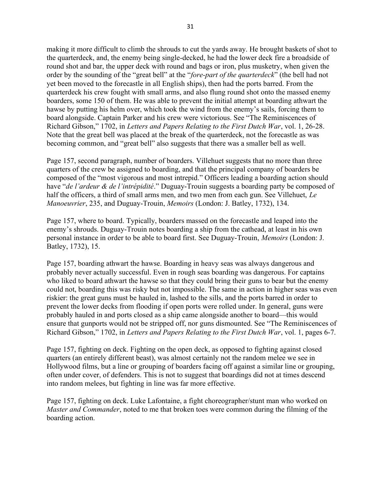making it more difficult to climb the shrouds to cut the yards away. He brought baskets of shot to the quarterdeck, and, the enemy being single-decked, he had the lower deck fire a broadside of round shot and bar, the upper deck with round and bags or iron, plus musketry, when given the order by the sounding of the "great bell" at the "fore-part of the quarterdeck" (the bell had not yet been moved to the forecastle in all English ships), then had the ports barred. From the quarterdeck his crew fought with small arms, and also flung round shot onto the massed enemy boarders, some 150 of them. He was able to prevent the initial attempt at boarding athwart the hawse by putting his helm over, which took the wind from the enemy's sails, forcing them to board alongside. Captain Parker and his crew were victorious. See "The Reminiscences of Richard Gibson," 1702, in Letters and Papers Relating to the First Dutch War, vol. 1, 26-28. Note that the great bell was placed at the break of the quarterdeck, not the forecastle as was becoming common, and "great bell" also suggests that there was a smaller bell as well.

Page 157, second paragraph, number of boarders. Villehuet suggests that no more than three quarters of the crew be assigned to boarding, and that the principal company of boarders be composed of the "most vigorous and most intrepid." Officers leading a boarding action should have "de l'ardeur & de l'intrépidité." Duguay-Trouin suggests a boarding party be composed of half the officers, a third of small arms men, and two men from each gun. See Villehuet, Le Manoeuvrier, 235, and Duguay-Trouin, Memoirs (London: J. Batley, 1732), 134.

Page 157, where to board. Typically, boarders massed on the forecastle and leaped into the enemy's shrouds. Duguay-Trouin notes boarding a ship from the cathead, at least in his own personal instance in order to be able to board first. See Duguay-Trouin, Memoirs (London: J. Batley, 1732), 15.

Page 157, boarding athwart the hawse. Boarding in heavy seas was always dangerous and probably never actually successful. Even in rough seas boarding was dangerous. For captains who liked to board athwart the hawse so that they could bring their guns to bear but the enemy could not, boarding this was risky but not impossible. The same in action in higher seas was even riskier: the great guns must be hauled in, lashed to the sills, and the ports barred in order to prevent the lower decks from flooding if open ports were rolled under. In general, guns were probably hauled in and ports closed as a ship came alongside another to board—this would ensure that gunports would not be stripped off, nor guns dismounted. See "The Reminiscences of Richard Gibson," 1702, in Letters and Papers Relating to the First Dutch War, vol. 1, pages 6-7.

Page 157, fighting on deck. Fighting on the open deck, as opposed to fighting against closed quarters (an entirely different beast), was almost certainly not the random melee we see in Hollywood films, but a line or grouping of boarders facing off against a similar line or grouping, often under cover, of defenders. This is not to suggest that boardings did not at times descend into random melees, but fighting in line was far more effective.

Page 157, fighting on deck. Luke Lafontaine, a fight choreographer/stunt man who worked on Master and Commander, noted to me that broken toes were common during the filming of the boarding action.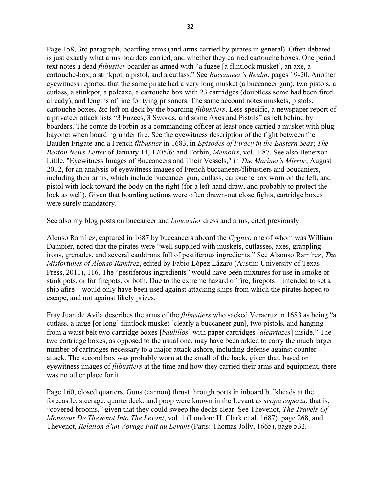Page 158, 3rd paragraph, boarding arms (and arms carried by pirates in general). Often debated is just exactly what arms boarders carried, and whether they carried cartouche boxes. One period text notes a dead flibustier boarder as armed with "a fuzee [a flintlock musket], an axe, a cartouche-box, a stinkpot, a pistol, and a cutlass." See Buccaneer's Realm, pages 19-20. Another eyewitness reported that the same pirate had a very long musket (a buccaneer gun), two pistols, a cutlass, a stinkpot, a poleaxe, a cartouche box with 23 cartridges (doubtless some had been fired already), and lengths of line for tying prisoners. The same account notes muskets, pistols, cartouche boxes, &c left on deck by the boarding *flibustiers*. Less specific, a newspaper report of a privateer attack lists "3 Fuzees, 3 Swords, and some Axes and Pistols" as left behind by boarders. The comte de Forbin as a commanding officer at least once carried a musket with plug bayonet when boarding under fire. See the eyewitness description of the fight between the Bauden Frigate and a French flibustier in 1683, in Episodes of Piracy in the Eastern Seas; The Boston News-Letter of January 14, 1705/6; and Forbin, Memoirs, vol. 1:87. See also Benerson Little, "Eyewitness Images of Buccaneers and Their Vessels," in The Mariner's Mirror, August 2012, for an analysis of eyewitness images of French buccaneers/flibustiers and boucaniers, including their arms, which include buccaneer gun, cutlass, cartouche box worn on the left, and pistol with lock toward the body on the right (for a left-hand draw, and probably to protect the lock as well). Given that boarding actions were often drawn-out close fights, cartridge boxes were surely mandatory.

See also my blog posts on buccaneer and *boucanier* dress and arms, cited previously.

Alonso Ramírez, captured in 1687 by buccaneers aboard the Cygnet, one of whom was William Dampier, noted that the pirates were "well supplied with muskets, cutlasses, axes, grappling irons, grenades, and several cauldrons full of pestiferous ingredients." See Alsonso Ramírez, The Misfortunes of Alonso Ramírez, edited by Fabio López Lázaro (Austin: University of Texas Press, 2011), 116. The "pestiferous ingredients" would have been mixtures for use in smoke or stink pots, or for firepots, or both. Due to the extreme hazard of fire, firepots—intended to set a ship afire—would only have been used against attacking ships from which the pirates hoped to escape, and not against likely prizes.

Fray Juan de Avila describes the arms of the flibustiers who sacked Veracruz in 1683 as being "a cutlass, a large [or long] flintlock musket [clearly a buccaneer gun], two pistols, and hanging from a waist belt two cartridge boxes [baulillos] with paper cartridges [alcartazes] inside." The two cartridge boxes, as opposed to the usual one, may have been added to carry the much larger number of cartridges necessary to a major attack ashore, including defense against counterattack. The second box was probably worn at the small of the back, given that, based on eyewitness images of *flibustiers* at the time and how they carried their arms and equipment, there was no other place for it.

Page 160, closed quarters. Guns (cannon) thrust through ports in inboard bulkheads at the forecastle, steerage, quarterdeck, and poop were known in the Levant as *scopa coperta*, that is, "covered brooms," given that they could sweep the decks clear. See Thevenot, The Travels Of Monsieur De Thevenot Into The Levant, vol. 1 (London: H. Clark et al, 1687), page 268, and Thevenot, Relation d'un Voyage Fait au Levant (Paris: Thomas Jolly, 1665), page 532.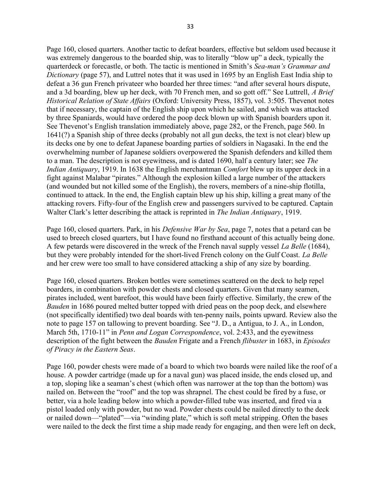Page 160, closed quarters. Another tactic to defeat boarders, effective but seldom used because it was extremely dangerous to the boarded ship, was to literally "blow up" a deck, typically the quarterdeck or forecastle, or both. The tactic is mentioned in Smith's Sea-man's Grammar and Dictionary (page 57), and Luttrel notes that it was used in 1695 by an English East India ship to defeat a 36 gun French privateer who boarded her three times: "and after several hours dispute, and a 3d boarding, blew up her deck, with 70 French men, and so gott off." See Luttrell, A Brief Historical Relation of State Affairs (Oxford: University Press, 1857), vol. 3:505. Thevenot notes that if necessary, the captain of the English ship upon which he sailed, and which was attacked by three Spaniards, would have ordered the poop deck blown up with Spanish boarders upon it. See Thevenot's English translation immediately above, page 282, or the French, page 560. In 1641(?) a Spanish ship of three decks (probably not all gun decks, the text is not clear) blew up its decks one by one to defeat Japanese boarding parties of soldiers in Nagasaki. In the end the overwhelming number of Japanese soldiers overpowered the Spanish defenders and killed them to a man. The description is not eyewitness, and is dated 1690, half a century later; see The Indian Antiquary, 1919. In 1638 the English merchantman Comfort blew up its upper deck in a fight against Malabar "pirates." Although the explosion killed a large number of the attackers (and wounded but not killed some of the English), the rovers, members of a nine-ship flotilla, continued to attack. In the end, the English captain blew up his ship, killing a great many of the attacking rovers. Fifty-four of the English crew and passengers survived to be captured. Captain Walter Clark's letter describing the attack is reprinted in *The Indian Antiquary*, 1919.

Page 160, closed quarters. Park, in his *Defensive War by Sea*, page 7, notes that a petard can be used to breech closed quarters, but I have found no firsthand account of this actually being done. A few petards were discovered in the wreck of the French naval supply vessel *La Belle* (1684), but they were probably intended for the short-lived French colony on the Gulf Coast. La Belle and her crew were too small to have considered attacking a ship of any size by boarding.

Page 160, closed quarters. Broken bottles were sometimes scattered on the deck to help repel boarders, in combination with powder chests and closed quarters. Given that many seamen, pirates included, went barefoot, this would have been fairly effective. Similarly, the crew of the Bauden in 1686 poured melted butter topped with dried peas on the poop deck, and elsewhere (not specifically identified) two deal boards with ten-penny nails, points upward. Review also the note to page 157 on tallowing to prevent boarding. See "J. D., a Antigua, to J. A., in London, March 5th, 1710-11" in *Penn and Logan Correspondence*, vol. 2:433, and the eyewitness description of the fight between the Bauden Frigate and a French *flibuster* in 1683, in *Episodes* of Piracy in the Eastern Seas.

Page 160, powder chests were made of a board to which two boards were nailed like the roof of a house. A powder cartridge (made up for a naval gun) was placed inside, the ends closed up, and a top, sloping like a seaman's chest (which often was narrower at the top than the bottom) was nailed on. Between the "roof" and the top was shrapnel. The chest could be fired by a fuse, or better, via a hole leading below into which a powder-filled tube was inserted, and fired via a pistol loaded only with powder, but no wad. Powder chests could be nailed directly to the deck or nailed down—"plated"—via "winding plate," which is soft metal stripping. Often the bases were nailed to the deck the first time a ship made ready for engaging, and then were left on deck,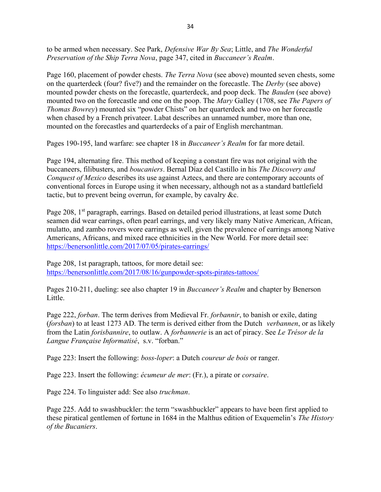to be armed when necessary. See Park, *Defensive War By Sea*; Little, and *The Wonderful* Preservation of the Ship Terra Nova, page 347, cited in Buccaneer's Realm.

Page 160, placement of powder chests. *The Terra Nova* (see above) mounted seven chests, some on the quarterdeck (four? five?) and the remainder on the forecastle. The *Derby* (see above) mounted powder chests on the forecastle, quarterdeck, and poop deck. The Bauden (see above) mounted two on the forecastle and one on the poop. The *Mary* Galley (1708, see *The Papers of* Thomas Bowrey) mounted six "powder Chists" on her quarterdeck and two on her forecastle when chased by a French privateer. Labat describes an unnamed number, more than one, mounted on the forecastles and quarterdecks of a pair of English merchantman.

Pages 190-195, land warfare: see chapter 18 in Buccaneer's Realm for far more detail.

Page 194, alternating fire. This method of keeping a constant fire was not original with the buccaneers, filibusters, and boucaniers. Bernal Díaz del Castillo in his The Discovery and Conquest of Mexico describes its use against Aztecs, and there are contemporary accounts of conventional forces in Europe using it when necessary, although not as a standard battlefield tactic, but to prevent being overrun, for example, by cavalry &c.

Page 208, 1<sup>st</sup> paragraph, earrings. Based on detailed period illustrations, at least some Dutch seamen did wear earrings, often pearl earrings, and very likely many Native American, African, mulatto, and zambo rovers wore earrings as well, given the prevalence of earrings among Native Americans, Africans, and mixed race ethnicities in the New World. For more detail see: https://benersonlittle.com/2017/07/05/pirates-earrings/

Page 208, 1st paragraph, tattoos, for more detail see: https://benersonlittle.com/2017/08/16/gunpowder-spots-pirates-tattoos/

Pages 210-211, dueling: see also chapter 19 in *Buccaneer's Realm* and chapter by Benerson Little.

Page 222, forban. The term derives from Medieval Fr. forbannir, to banish or exile, dating (forsban) to at least 1273 AD. The term is derived either from the Dutch verbannen, or as likely from the Latin forisbannire, to outlaw. A forbannerie is an act of piracy. See Le Trésor de la Langue Française Informatisé, s.v. "forban."

Page 223: Insert the following: *boss-loper*: a Dutch *coureur de bois* or ranger.

Page 223. Insert the following: écumeur de mer: (Fr.), a pirate or corsaire.

Page 224. To linguister add: See also *truchman*.

Page 225. Add to swashbuckler: the term "swashbuckler" appears to have been first applied to these piratical gentlemen of fortune in 1684 in the Malthus edition of Exquemelin's The History of the Bucaniers.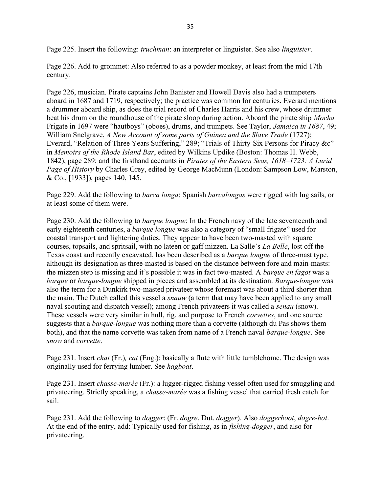Page 225. Insert the following: *truchman*: an interpreter or linguister. See also *linguister*.

Page 226. Add to grommet: Also referred to as a powder monkey, at least from the mid 17th century.

Page 226, musician. Pirate captains John Banister and Howell Davis also had a trumpeters aboard in 1687 and 1719, respectively; the practice was common for centuries. Everard mentions a drummer aboard ship, as does the trial record of Charles Harris and his crew, whose drummer beat his drum on the roundhouse of the pirate sloop during action. Aboard the pirate ship *Mocha* Frigate in 1697 were "hautboys" (oboes), drums, and trumpets. See Taylor, Jamaica in 1687, 49; William Snelgrave, A New Account of some parts of Guinea and the Slave Trade (1727); Everard, "Relation of Three Years Suffering," 289; "Trials of Thirty-Six Persons for Piracy &c" in Memoirs of the Rhode Island Bar, edited by Wilkins Updike (Boston: Thomas H. Webb, 1842), page 289; and the firsthand accounts in Pirates of the Eastern Seas, 1618–1723: A Lurid Page of History by Charles Grey, edited by George MacMunn (London: Sampson Low, Marston, & Co., [1933]), pages 140, 145.

Page 229. Add the following to *barca longa*: Spanish *barcalongas* were rigged with lug sails, or at least some of them were.

Page 230. Add the following to *barque longue*: In the French navy of the late seventeenth and early eighteenth centuries, a *barque longue* was also a category of "small frigate" used for coastal transport and lightering duties. They appear to have been two-masted with square courses, topsails, and spritsail, with no lateen or gaff mizzen. La Salle's La Belle, lost off the Texas coast and recently excavated, has been described as a barque longue of three-mast type, although its designation as three-masted is based on the distance between fore and main-masts: the mizzen step is missing and it's possible it was in fact two-masted. A *barque en fagot* was a barque or barque-longue shipped in pieces and assembled at its destination. Barque-longue was also the term for a Dunkirk two-masted privateer whose foremast was about a third shorter than the main. The Dutch called this vessel a *snauw* (a term that may have been applied to any small naval scouting and dispatch vessel); among French privateers it was called a senau (snow). These vessels were very similar in hull, rig, and purpose to French *corvettes*, and one source suggests that a *barque-longue* was nothing more than a corvette (although du Pas shows them both), and that the name corvette was taken from name of a French naval *barque-longue*. See snow and *corvette*.

Page 231. Insert *chat* (Fr.), *cat* (Eng.): basically a flute with little tumblehome. The design was originally used for ferrying lumber. See hagboat.

Page 231. Insert *chasse-marée* (Fr.): a lugger-rigged fishing vessel often used for smuggling and privateering. Strictly speaking, a chasse-marée was a fishing vessel that carried fresh catch for sail.

Page 231. Add the following to *dogger*: (Fr. *dogre*, Dut. *dogger*). Also *doggerboot*, *dogre-bot*. At the end of the entry, add: Typically used for fishing, as in *fishing-dogger*, and also for privateering.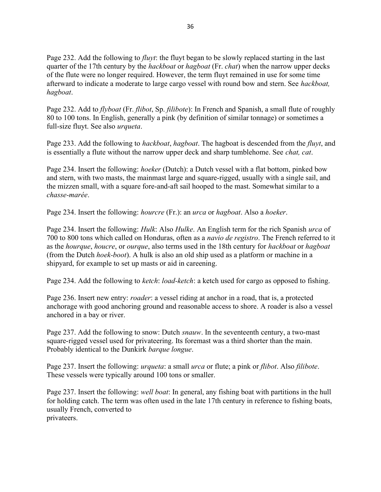Page 232. Add the following to *fluyt*: the fluyt began to be slowly replaced starting in the last quarter of the 17th century by the *hackboat* or *hagboat* (Fr. *chat*) when the narrow upper decks of the flute were no longer required. However, the term fluyt remained in use for some time afterward to indicate a moderate to large cargo vessel with round bow and stern. See hackboat, hagboat.

Page 232. Add to *flyboat* (Fr. *flibot*, Sp. *filibote*): In French and Spanish, a small flute of roughly 80 to 100 tons. In English, generally a pink (by definition of similar tonnage) or sometimes a full-size fluyt. See also urqueta.

Page 233. Add the following to *hackboat*, *hagboat*. The hagboat is descended from the *fluyt*, and is essentially a flute without the narrow upper deck and sharp tumblehome. See *chat, cat.* 

Page 234. Insert the following: *hoeker* (Dutch): a Dutch vessel with a flat bottom, pinked bow and stern, with two masts, the mainmast large and square-rigged, usually with a single sail, and the mizzen small, with a square fore-and-aft sail hooped to the mast. Somewhat similar to a chasse-marée.

Page 234. Insert the following: *hourcre* (Fr.): an *urca* or *hagboat*. Also a *hoeker*.

Page 234. Insert the following: Hulk: Also Hulke. An English term for the rich Spanish urca of 700 to 800 tons which called on Honduras, often as a navio de registro. The French referred to it as the *hourque*, *houcre*, or *ourque*, also terms used in the 18th century for *hackboat* or *hagboat* (from the Dutch hoek-boot). A hulk is also an old ship used as a platform or machine in a shipyard, for example to set up masts or aid in careening.

Page 234. Add the following to *ketch: load-ketch:* a ketch used for cargo as opposed to fishing.

Page 236. Insert new entry: *roader*: a vessel riding at anchor in a road, that is, a protected anchorage with good anchoring ground and reasonable access to shore. A roader is also a vessel anchored in a bay or river.

Page 237. Add the following to snow: Dutch *snauw*. In the seventeenth century, a two-mast square-rigged vessel used for privateering. Its foremast was a third shorter than the main. Probably identical to the Dunkirk barque longue.

Page 237. Insert the following: *urqueta*: a small *urca* or flute; a pink or *flibot*. Also *filibote*. These vessels were typically around 100 tons or smaller.

Page 237. Insert the following: *well boat*: In general, any fishing boat with partitions in the hull for holding catch. The term was often used in the late 17th century in reference to fishing boats, usually French, converted to privateers.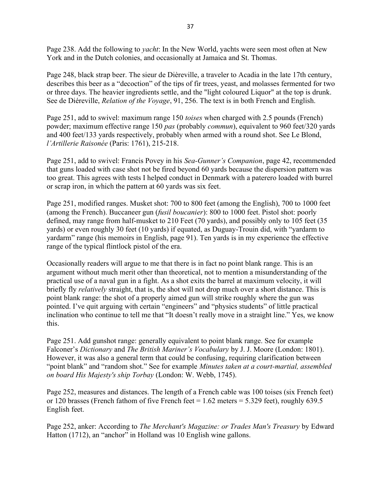Page 238. Add the following to *yacht*: In the New World, yachts were seen most often at New York and in the Dutch colonies, and occasionally at Jamaica and St. Thomas.

Page 248, black strap beer. The sieur de Dièreville, a traveler to Acadia in the late 17th century, describes this beer as a "decoction" of the tips of fir trees, yeast, and molasses fermented for two or three days. The heavier ingredients settle, and the "light coloured Liquor" at the top is drunk. See de Diéreville, *Relation of the Voyage*, 91, 256. The text is in both French and English.

Page 251, add to swivel: maximum range 150 *toises* when charged with 2.5 pounds (French) powder; maximum effective range 150 pas (probably commun), equivalent to 960 feet/320 yards and 400 feet/133 yards respectively, probably when armed with a round shot. See Le Blond, l'Artillerie Raisonée (Paris: 1761), 215-218.

Page 251, add to swivel: Francis Povey in his Sea-Gunner's Companion, page 42, recommended that guns loaded with case shot not be fired beyond 60 yards because the dispersion pattern was too great. This agrees with tests I helped conduct in Denmark with a paterero loaded with burrel or scrap iron, in which the pattern at 60 yards was six feet.

Page 251, modified ranges. Musket shot: 700 to 800 feet (among the English), 700 to 1000 feet (among the French). Buccaneer gun (fusil boucanier): 800 to 1000 feet. Pistol shot: poorly defined, may range from half-musket to 210 Feet (70 yards), and possibly only to 105 feet (35 yards) or even roughly 30 feet (10 yards) if equated, as Duguay-Trouin did, with "yardarm to yardarm" range (his memoirs in English, page 91). Ten yards is in my experience the effective range of the typical flintlock pistol of the era.

Occasionally readers will argue to me that there is in fact no point blank range. This is an argument without much merit other than theoretical, not to mention a misunderstanding of the practical use of a naval gun in a fight. As a shot exits the barrel at maximum velocity, it will briefly fly *relatively* straight, that is, the shot will not drop much over a short distance. This is point blank range: the shot of a properly aimed gun will strike roughly where the gun was pointed. I've quit arguing with certain "engineers" and "physics students" of little practical inclination who continue to tell me that "It doesn't really move in a straight line." Yes, we know this.

Page 251. Add gunshot range: generally equivalent to point blank range. See for example Falconer's Dictionary and The British Mariner's Vocabulary by J. J. Moore (London: 1801). However, it was also a general term that could be confusing, requiring clarification between "point blank" and "random shot." See for example Minutes taken at a court-martial, assembled on board His Majesty's ship Torbay (London: W. Webb, 1745).

Page 252, measures and distances. The length of a French cable was 100 toises (six French feet) or 120 brasses (French fathom of five French feet  $= 1.62$  meters  $= 5.329$  feet), roughly 639.5 English feet.

Page 252, anker: According to *The Merchant's Magazine: or Trades Man's Treasury* by Edward Hatton (1712), an "anchor" in Holland was 10 English wine gallons.